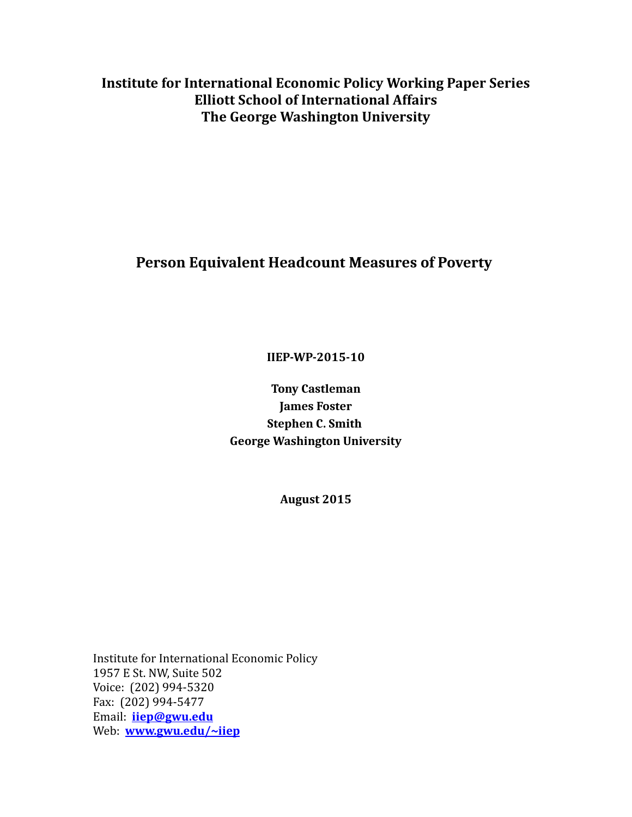**Institute for International Economic Policy Working Paper Series Elliott School of International Affairs The George Washington University**

# **Person Equivalent Headcount Measures of Poverty**

**IIEP-WP-2015-10**

**Tony Castleman James Foster Stephen C. Smith George Washington University**

**August 2015**

Institute for International Economic Policy 1957 E St. NW, Suite 502 Voice: (202) 994-5320 Fax: (202) 994-5477 Email: **[iiep@gwu.edu](mailto:iiep@gwu.edu)** Web: **[www.gwu.edu/~iiep](http://www.gwu.edu/~iiep)**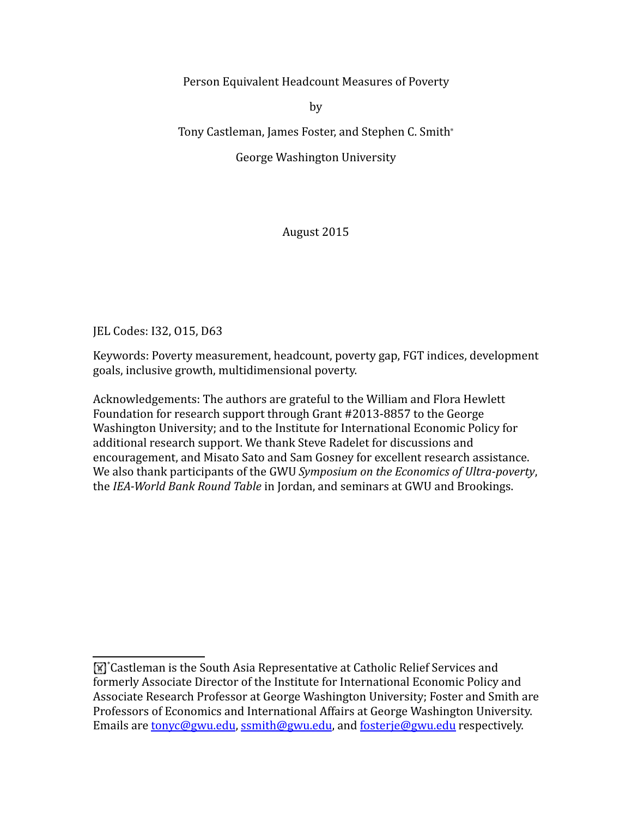Person Equivalent Headcount Measures of Poverty

by

Tony Castleman, James Foster, and Stephen C. Smith

George Washington University

August 2015

JEL Codes: I32, O15, D63

Keywords: Poverty measurement, headcount, poverty gap, FGT indices, development goals, inclusive growth, multidimensional poverty.

Acknowledgements: The authors are grateful to the William and Flora Hewlett Foundation for research support through Grant #2013-8857 to the George Washington University; and to the Institute for International Economic Policy for additional research support. We thank Steve Radelet for discussions and encouragement, and Misato Sato and Sam Gosney for excellent research assistance. We also thank participants of the GWU *Symposium on the Economics of Ultra-poverty*, the *IEA-World Bank Round Table* in Jordan, and seminars at GWU and Brookings.

<span id="page-1-0"></span>M<sup>\*</sup>Castleman is the South Asia Representative at Catholic Relief Services and formerly Associate Director of the Institute for International Economic Policy and Associate Research Professor at George Washington University; Foster and Smith are Professors of Economics and International Affairs at George Washington University. Emails are **tonyc@gwu.edu, ssmith@gwu.edu**, and <u>fosterje@gwu.edu</u> respectively.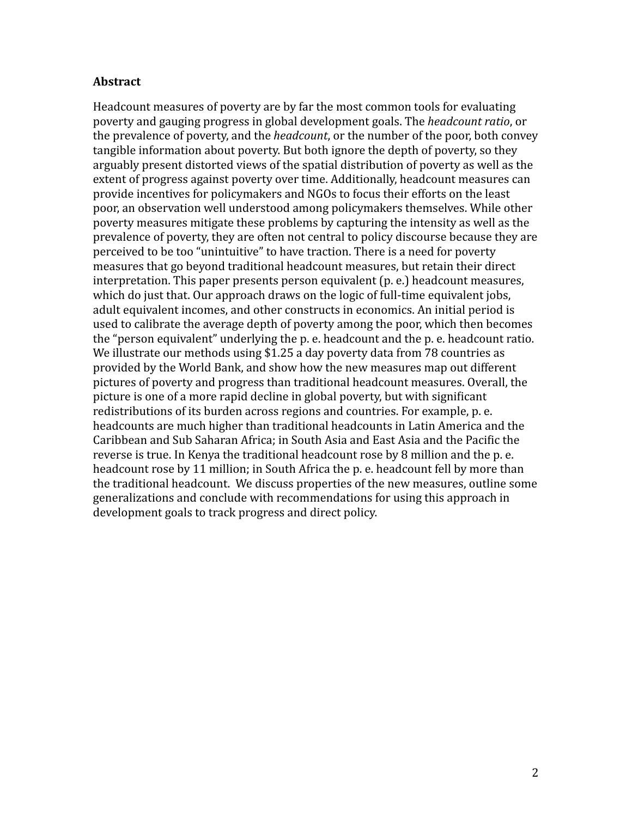#### **Abstract**

Headcount measures of poverty are by far the most common tools for evaluating poverty and gauging progress in global development goals. The *headcount ratio*, or the prevalence of poverty, and the *headcount*, or the number of the poor, both convey tangible information about poverty. But both ignore the depth of poverty, so they arguably present distorted views of the spatial distribution of poverty as well as the extent of progress against poverty over time. Additionally, headcount measures can provide incentives for policymakers and NGOs to focus their efforts on the least poor, an observation well understood among policymakers themselves. While other poverty measures mitigate these problems by capturing the intensity as well as the prevalence of poverty, they are often not central to policy discourse because they are perceived to be too "unintuitive" to have traction. There is a need for poverty measures that go beyond traditional headcount measures, but retain their direct interpretation. This paper presents person equivalent (p. e.) headcount measures, which do just that. Our approach draws on the logic of full-time equivalent jobs, adult equivalent incomes, and other constructs in economics. An initial period is used to calibrate the average depth of poverty among the poor, which then becomes the "person equivalent" underlying the p. e. headcount and the p. e. headcount ratio. We illustrate our methods using \$1.25 a day poverty data from 78 countries as provided by the World Bank, and show how the new measures map out different pictures of poverty and progress than traditional headcount measures. Overall, the picture is one of a more rapid decline in global poverty, but with significant redistributions of its burden across regions and countries. For example, p. e. headcounts are much higher than traditional headcounts in Latin America and the Caribbean and Sub Saharan Africa; in South Asia and East Asia and the Pacific the reverse is true. In Kenya the traditional headcount rose by 8 million and the p. e. headcount rose by 11 million; in South Africa the p. e. headcount fell by more than the traditional headcount. We discuss properties of the new measures, outline some generalizations and conclude with recommendations for using this approach in development goals to track progress and direct policy.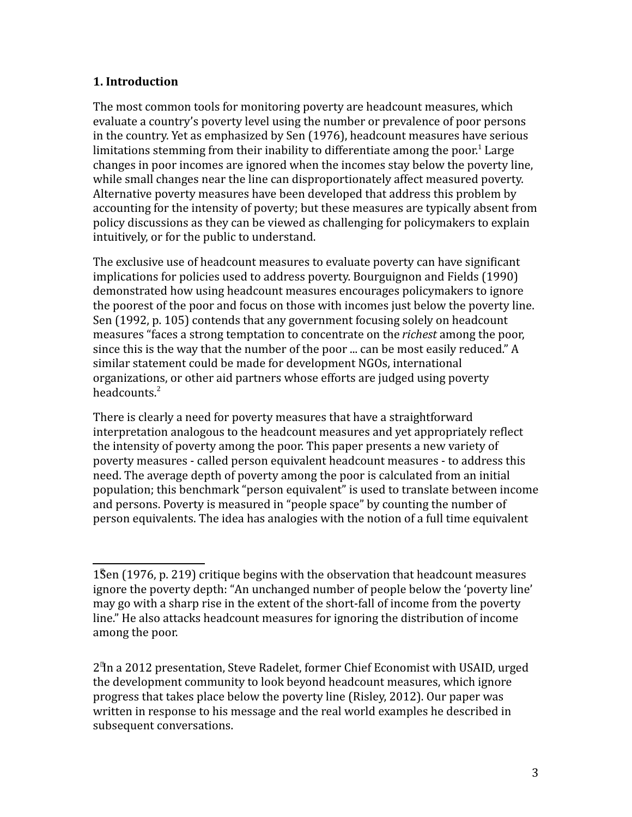# **1. Introduction**

The most common tools for monitoring poverty are headcount measures, which evaluate a country's poverty level using the number or prevalence of poor persons in the country. Yet as emphasized by Sen (1976), headcount measures have serious limitations stemming from their inability to differentiate among the poor.<sup>1</sup> Large changes in poor incomes are ignored when the incomes stay below the poverty line, while small changes near the line can disproportionately affect measured poverty. Alternative poverty measures have been developed that address this problem by accounting for the intensity of poverty; but these measures are typically absent from policy discussions as they can be viewed as challenging for policymakers to explain intuitively, or for the public to understand.

The exclusive use of headcount measures to evaluate poverty can have significant implications for policies used to address poverty. Bourguignon and Fields (1990) demonstrated how using headcount measures encourages policymakers to ignore the poorest of the poor and focus on those with incomes just below the poverty line. Sen (1992, p. 105) contends that any government focusing solely on headcount measures "faces a strong temptation to concentrate on the *richest* among the poor, since this is the way that the number of the poor ... can be most easily reduced." A similar statement could be made for development NGOs, international organizations, or other aid partners whose efforts are judged using poverty headcounts.<sup>2</sup>

There is clearly a need for poverty measures that have a straightforward interpretation analogous to the headcount measures and yet appropriately reflect the intensity of poverty among the poor. This paper presents a new variety of poverty measures - called person equivalent headcount measures - to address this need. The average depth of poverty among the poor is calculated from an initial population; this benchmark "person equivalent" is used to translate between income and persons. Poverty is measured in "people space" by counting the number of person equivalents. The idea has analogies with the notion of a full time equivalent

<span id="page-3-0"></span><sup>1</sup>Sen (1976, p. 219) critique begins with the observation that headcount measures ignore the poverty depth: "An unchanged number of people below the 'poverty line' may go with a sharp rise in the extent of the short-fall of income from the poverty line." He also attacks headcount measures for ignoring the distribution of income among the poor.

<span id="page-3-1"></span><sup>2&</sup>lt;sup><sup>9</sup>In a 2012 presentation, Steve Radelet, former Chief Economist with USAID, urged</sup> the development community to look beyond headcount measures, which ignore progress that takes place below the poverty line (Risley, 2012). Our paper was written in response to his message and the real world examples he described in subsequent conversations.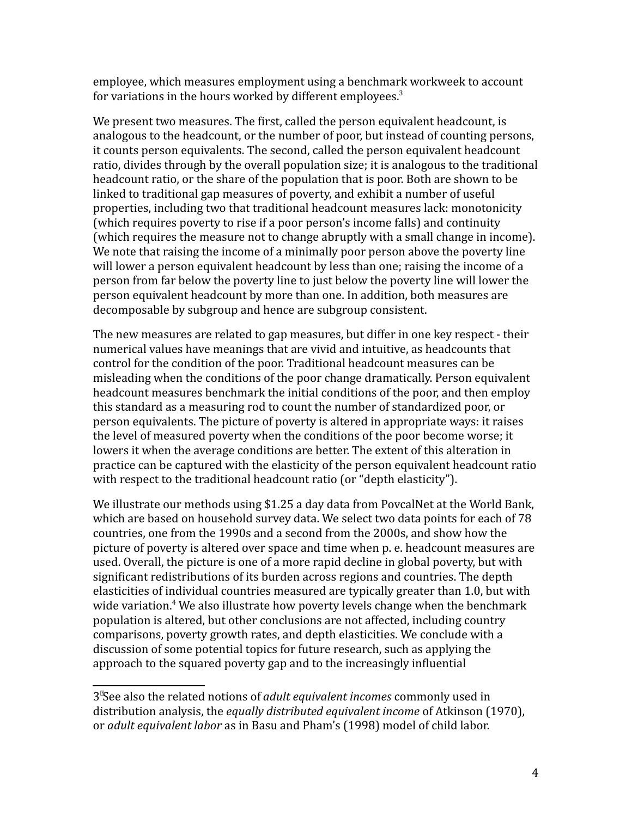employee, which measures employment using a benchmark workweek to account for variations in the hours worked by different employees. $3$ 

We present two measures. The first, called the person equivalent headcount, is analogous to the headcount, or the number of poor, but instead of counting persons, it counts person equivalents. The second, called the person equivalent headcount ratio, divides through by the overall population size; it is analogous to the traditional headcount ratio, or the share of the population that is poor. Both are shown to be linked to traditional gap measures of poverty, and exhibit a number of useful properties, including two that traditional headcount measures lack: monotonicity (which requires poverty to rise if a poor person's income falls) and continuity (which requires the measure not to change abruptly with a small change in income). We note that raising the income of a minimally poor person above the poverty line will lower a person equivalent headcount by less than one; raising the income of a person from far below the poverty line to just below the poverty line will lower the person equivalent headcount by more than one. In addition, both measures are decomposable by subgroup and hence are subgroup consistent.

The new measures are related to gap measures, but differ in one key respect - their numerical values have meanings that are vivid and intuitive, as headcounts that control for the condition of the poor. Traditional headcount measures can be misleading when the conditions of the poor change dramatically. Person equivalent headcount measures benchmark the initial conditions of the poor, and then employ this standard as a measuring rod to count the number of standardized poor, or person equivalents. The picture of poverty is altered in appropriate ways: it raises the level of measured poverty when the conditions of the poor become worse; it lowers it when the average conditions are better. The extent of this alteration in practice can be captured with the elasticity of the person equivalent headcount ratio with respect to the traditional headcount ratio (or "depth elasticity").

We illustrate our methods using \$1.25 a day data from PovcalNet at the World Bank, which are based on household survey data. We select two data points for each of 78 countries, one from the 1990s and a second from the 2000s, and show how the picture of poverty is altered over space and time when p. e. headcount measures are used. Overall, the picture is one of a more rapid decline in global poverty, but with significant redistributions of its burden across regions and countries. The depth elasticities of individual countries measured are typically greater than 1.0, but with wide variation.<sup>4</sup> We also illustrate how poverty levels change when the benchmark population is altered, but other conclusions are not affected, including country comparisons, poverty growth rates, and depth elasticities. We conclude with a discussion of some potential topics for future research, such as applying the approach to the squared poverty gap and to the increasingly influential

<span id="page-4-0"></span><sup>3&</sup>lt;sup>e</sup>See also the related notions of *adult equivalent incomes* commonly used in distribution analysis, the *equally distributed equivalent income* of Atkinson (1970), or *adult equivalent labor* as in Basu and Pham's (1998) model of child labor.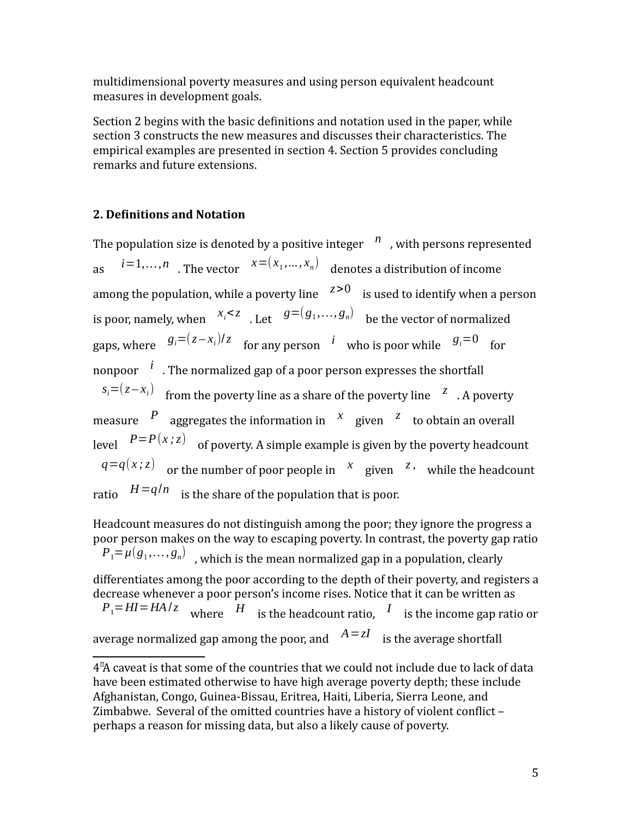multidimensional poverty measures and using person equivalent headcount measures in development goals.

Section 2 begins with the basic definitions and notation used in the paper, while section 3 constructs the new measures and discusses their characteristics. The empirical examples are presented in section 4. Section 5 provides concluding remarks and future extensions.

#### **2. Definitions and Notation**

The population size is denoted by a positive integer  $\pi$ , with persons represented as  $i=1,...,n$  . The vector  $x=(x_1,...,x_n)$  denotes a distribution of income among the population, while a poverty line  $z>0$  is used to identify when a person is poor, namely, when  $x_i < z$  . Let  $g = (g_1, ..., g_n)$  be the vector of normalized gaps, where  $g_i = (z - x_i)/z$  for any person *i* who is poor while  $g_i = 0$  for nonpoor *i* . The normalized gap of a poor person expresses the shortfall  $s_i = (z - x_i)$  from the poverty line as a share of the poverty line <sup>z</sup>. A poverty measure  $P$  aggregates the information in  $X$  given  $Z$  to obtain an overall level  $P = P(x; z)$  of poverty. A simple example is given by the poverty headcount  $q=q(x; z)$  or the number of poor people in <sup>*x*</sup> given <sup>*z*</sup>, while the headcount ratio  $H = q/n$  is the share of the population that is poor.

Headcount measures do not distinguish among the poor; they ignore the progress a poor person makes on the way to escaping poverty. In contrast, the poverty gap ratio  $P_1 = \mu(g_1, \ldots, g_n)$ , which is the mean normalized gap in a population, clearly differentiates among the poor according to the depth of their poverty, and registers a decrease whenever a poor person's income rises. Notice that it can be written as  $P_1 = HI = HA/z$  where *H* is the headcount ratio, *I* is the income gap ratio or average normalized gap among the poor, and  $A = zI$  is the average shortfall

 $4^{\degree}$ A caveat is that some of the countries that we could not include due to lack of data have been estimated otherwise to have high average poverty depth; these include Afghanistan, Congo, Guinea-Bissau, Eritrea, Haiti, Liberia, Sierra Leone, and Zimbabwe. Several of the omitted countries have a history of violent conflict – perhaps a reason for missing data, but also a likely cause of poverty.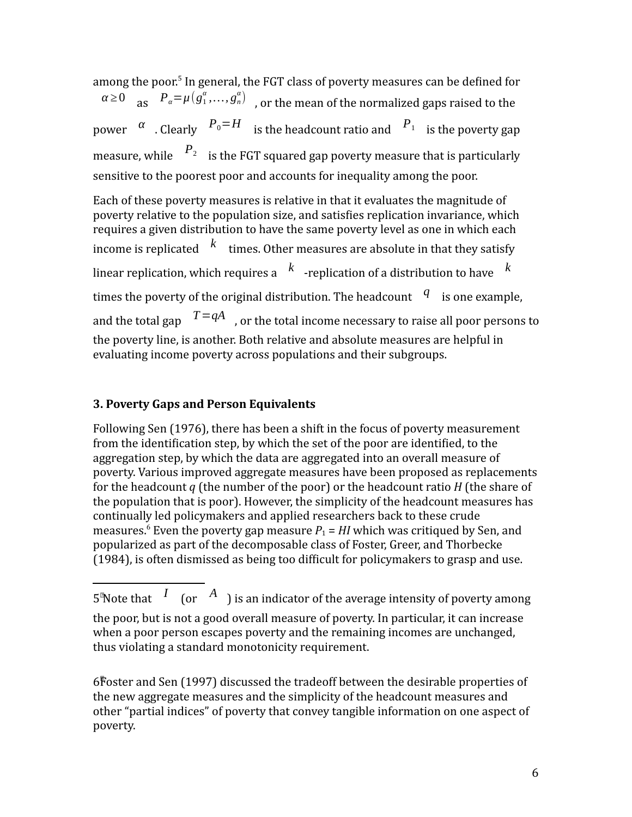among the poor.<sup>5</sup> In general, the FGT class of poverty measures can be defined for  $\alpha \ge 0$  as  $P_{\alpha} = \mu(g_1^{\alpha},...,g_n^{\alpha})$ , or the mean of the normalized gaps raised to the power  $\alpha$  . Clearly  $P_0 = H$  is the headcount ratio and  $P_1$  is the poverty gap measure, while  $P_2$  is the FGT squared gap poverty measure that is particularly sensitive to the poorest poor and accounts for inequality among the poor.

Each of these poverty measures is relative in that it evaluates the magnitude of poverty relative to the population size, and satisfies replication invariance, which requires a given distribution to have the same poverty level as one in which each income is replicated *k* times. Other measures are absolute in that they satisfy linear replication, which requires a *<sup>k</sup>* -replication of a distribution to have *<sup>k</sup>* times the poverty of the original distribution. The headcount  $q$  is one example, and the total gap  $T=qA$ , or the total income necessary to raise all poor persons to the poverty line, is another. Both relative and absolute measures are helpful in evaluating income poverty across populations and their subgroups.

# **3. Poverty Gaps and Person Equivalents**

Following Sen (1976), there has been a shift in the focus of poverty measurement from the identification step, by which the set of the poor are identified, to the aggregation step, by which the data are aggregated into an overall measure of poverty. Various improved aggregate measures have been proposed as replacements for the headcount *q* (the number of the poor) or the headcount ratio *H* (the share of the population that is poor). However, the simplicity of the headcount measures has continually led policymakers and applied researchers back to these crude measures. $6$  Even the poverty gap measure  $P_1$  =  $HI$  which was critiqued by Sen, and popularized as part of the decomposable class of Foster, Greer, and Thorbecke (1984), is often dismissed as being too difficult for policymakers to grasp and use.

<span id="page-6-0"></span>5<sup></sup>Note that  $I$  (or  $A$ ) is an indicator of the average intensity of poverty among the poor, but is not a good overall measure of poverty. In particular, it can increase when a poor person escapes poverty and the remaining incomes are unchanged, thus violating a standard monotonicity requirement.

<span id="page-6-1"></span>6<sup>F</sup>oster and Sen (1997) discussed the tradeoff between the desirable properties of the new aggregate measures and the simplicity of the headcount measures and other "partial indices" of poverty that convey tangible information on one aspect of poverty.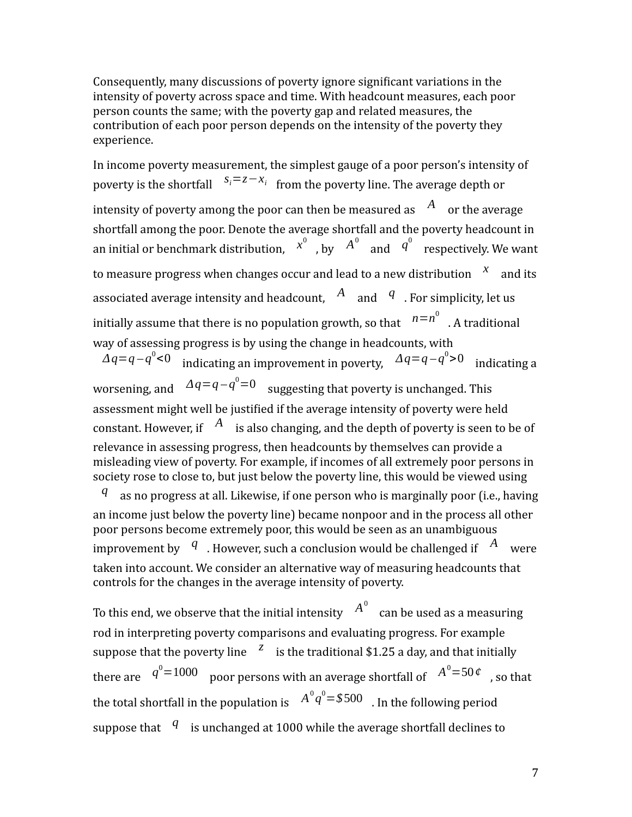Consequently, many discussions of poverty ignore significant variations in the intensity of poverty across space and time. With headcount measures, each poor person counts the same; with the poverty gap and related measures, the contribution of each poor person depends on the intensity of the poverty they experience.

In income poverty measurement, the simplest gauge of a poor person's intensity of poverty is the shortfall  $s_i = z - x_i$  from the poverty line. The average depth or intensity of poverty among the poor can then be measured as  $\overline{A}$  or the average shortfall among the poor. Denote the average shortfall and the poverty headcount in an initial or benchmark distribution,  $\begin{array}{cc} x^0 \\ kpc \end{array}$  , by  $\begin{array}{cc} A^0 \\ kpc \end{array}$  and  $\begin{array}{cc} q^0 \\ q^0 \end{array}$  respectively. We want to measure progress when changes occur and lead to a new distribution  $X$  and its associated average intensity and headcount,  $\overline{A}$  and  $\overline{q}$  . For simplicity, let us initially assume that there is no population growth, so that  $\overline{p} = n^0$  . A traditional way of assessing progress is by using the change in headcounts, with

 $\Delta q$ = $q$  – $q^0$ <0  $\,$  indicating an improvement in poverty,  $\,$   $\Delta q$ = $q$ – $q^0$ >0  $\,$  indicating a worsening, and  $\Delta q = q - q^0 = 0$  suggesting that poverty is unchanged. This assessment might well be justified if the average intensity of poverty were held constant. However, if *A* is also changing, and the depth of poverty is seen to be of relevance in assessing progress, then headcounts by themselves can provide a misleading view of poverty. For example, if incomes of all extremely poor persons in society rose to close to, but just below the poverty line, this would be viewed using

*<sup>q</sup>* as no progress at all. Likewise, if one person who is marginally poor (i.e., having an income just below the poverty line) became nonpoor and in the process all other poor persons become extremely poor, this would be seen as an unambiguous improvement by  $q$ . However, such a conclusion would be challenged if  $\overline{A}$  were taken into account. We consider an alternative way of measuring headcounts that controls for the changes in the average intensity of poverty.

To this end, we observe that the initial intensity  $\quad^A{}^{\scriptstyle{0}}\,$  can be used as a measuring rod in interpreting poverty comparisons and evaluating progress. For example suppose that the poverty line  $Z$  is the traditional \$1.25 a day, and that initially there are  $q^0 = 1000$  poor persons with an average shortfall of  $A^0 = 50 q^0$ , so that the total shortfall in the population is  $A^0q^0 = $500$  . In the following period suppose that *q* is unchanged at 1000 while the average shortfall declines to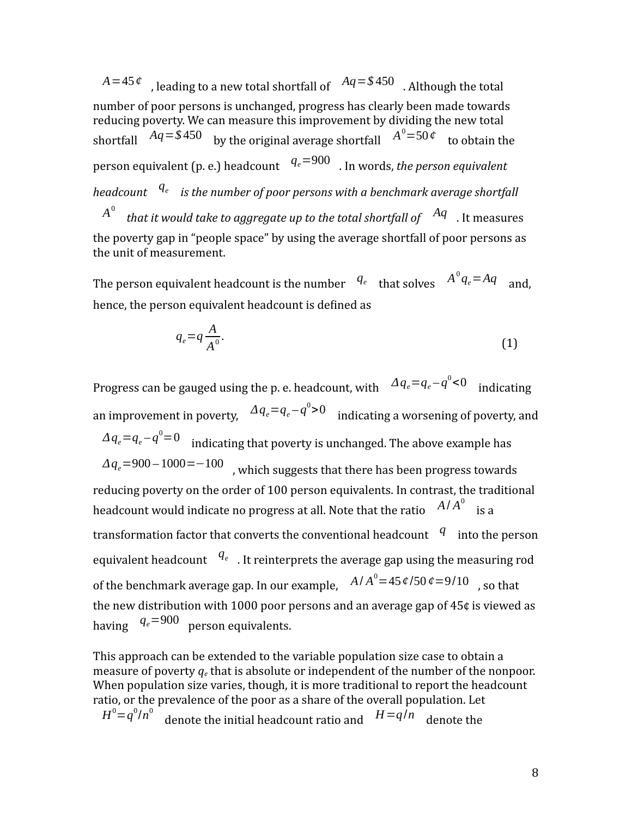$A=45¢$ , leading to a new total shortfall of  $Aq=\$450$ . Although the total number of poor persons is unchanged, progress has clearly been made towards reducing poverty. We can measure this improvement by dividing the new total shortfall  $Aq = $450$  by the original average shortfall  $A^0 = 50¢$  to obtain the person equivalent (p. e.) headcount  $q_e$ =900 . In words, *the person equivalent headcount qe is the number of poor persons with a benchmark average shortfall A*0  *that it would take to aggregate up to the total shortfall of Aq* . It measures the poverty gap in "people space" by using the average shortfall of poor persons as the unit of measurement.

The person equivalent headcount is the number  $q_e$  that solves  $A^0q_e = Aq$  and, hence, the person equivalent headcount is defined as

$$
q_e = q \frac{A}{A^0}.\tag{1}
$$

Progress can be gauged using the p. e. headcount, with  $\Delta q_e = q_e - q^0$ <0 indicating an improvement in poverty,  $\int_0^a 2q_e\!=\!q_e\!-\!q^0\!\!>\!0$  indicating a worsening of poverty, and  $\varDelta\,q_e\!=\!q_e\!-\!q^0\!\!=\!0\quad$  indicating that poverty is unchanged. The above example has  $\Delta q_e$ =900 – 1000 = −100 , which suggests that there has been progress towards reducing poverty on the order of 100 person equivalents. In contrast, the traditional headcount would indicate no progress at all. Note that the ratio  $\;\;AA/A^0\;\;$  is a transformation factor that converts the conventional headcount  $q$  into the person equivalent headcount *qe* . It reinterprets the average gap using the measuring rod of the benchmark average gap. In our example,  $A/A^0 = 45 \frac{\mathcal{C}}{50} = 9/10$ , so that the new distribution with 1000 poor persons and an average gap of 45¢ is viewed as having  $q_e$ =900 person equivalents.

This approach can be extended to the variable population size case to obtain a measure of poverty *qe* that is absolute or independent of the number of the nonpoor. When population size varies, though, it is more traditional to report the headcount ratio, or the prevalence of the poor as a share of the overall population. Let  $H^0 = q^0/n^0$ denote the initial headcount ratio and  $H=q/n$  denote the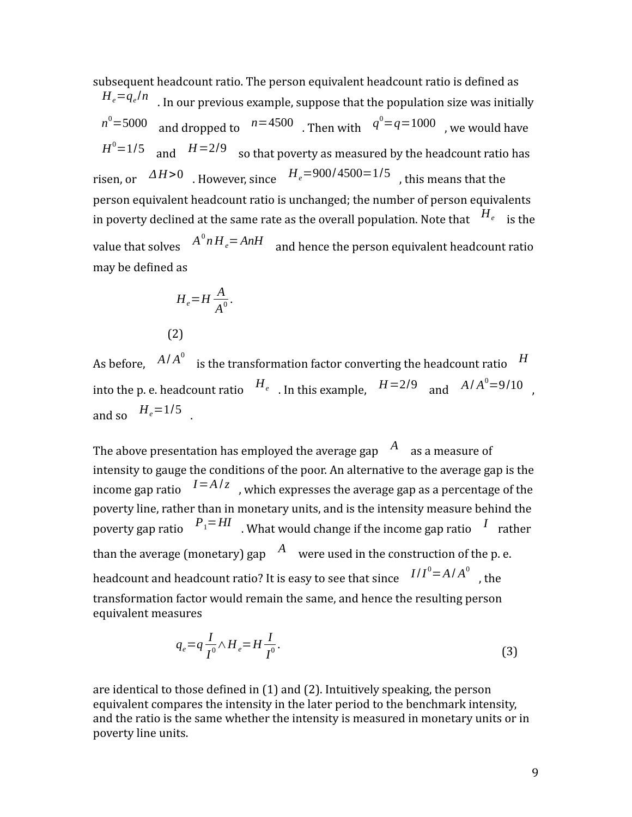subsequent headcount ratio. The person equivalent headcount ratio is defined as

 $H_e = q_e / n$  . In our previous example, suppose that the population size was initially *n* 0  $=$  5000 and dropped to  $n=$  4500 . Then with  $q^0 = q = 1000$  , we would have  $H^0$ =1/5 and  $H=2/9$  so that poverty as measured by the headcount ratio has risen, or  $\Delta H > 0$ . However, since  $H_e = 900/4500 = 1/5$ , this means that the person equivalent headcount ratio is unchanged; the number of person equivalents in poverty declined at the same rate as the overall population. Note that  $H_e$  is the value that solves  $A^0 n H_e = AnH$  and hence the person equivalent headcount ratio may be defined as

$$
H_e = H \frac{A}{A^0}.
$$

$$
\left( 2\right)
$$

As before,  $\left\vert A/A^{0}\right\rangle$  is the transformation factor converting the headcount ratio  $\left\vert H\right\rangle$ into the p. e. headcount ratio  $H_e$  . In this example,  $H=2/9$  and  $A/A^0=9/10$  , and so  $H_e = 1/5$ 

The above presentation has employed the average gap  $\overline{A}$  as a measure of intensity to gauge the conditions of the poor. An alternative to the average gap is the income gap ratio  $I = A/z$ , which expresses the average gap as a percentage of the poverty line, rather than in monetary units, and is the intensity measure behind the poverty gap ratio  $P_1 = H I$ . What would change if the income gap ratio  $I$  rather than the average (monetary) gap  $A$  were used in the construction of the p. e. headcount and headcount ratio? It is easy to see that since  $I/I^0$   $=$   $A/A^0$   $\,$  , the transformation factor would remain the same, and hence the resulting person equivalent measures

$$
q_e = q \frac{I}{I^0} \wedge H_e = H \frac{I}{I^0}.
$$
\n
$$
(3)
$$

are identical to those defined in (1) and (2). Intuitively speaking, the person equivalent compares the intensity in the later period to the benchmark intensity, and the ratio is the same whether the intensity is measured in monetary units or in poverty line units.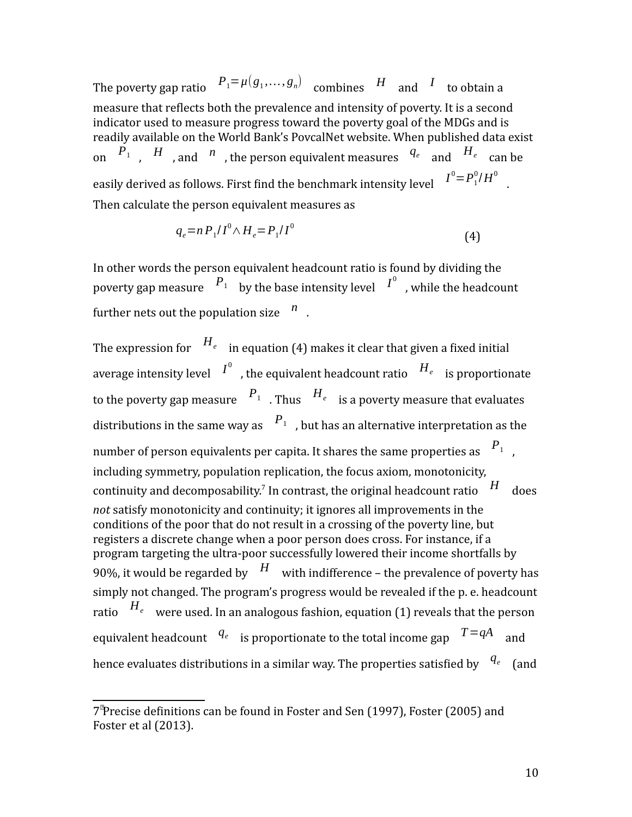The poverty gap ratio  $P_1 = \mu(g_1, \ldots, g_n)$  combines *H* and *I* to obtain a measure that reflects both the prevalence and intensity of poverty. It is a second indicator used to measure progress toward the poverty goal of the MDGs and is readily available on the World Bank's PovcalNet website. When published data exist on  $P_1$ , *H*, and *n*, the person equivalent measures  $q_e$  and  $H_e$  can be easily derived as follows. First find the benchmark intensity level  $\quad I^0 \! = \! P^0_1/H^0 \,$  . Then calculate the person equivalent measures as

$$
q_e = n P_1 / I^0 \wedge H_e = P_1 / I^0 \tag{4}
$$

In other words the person equivalent headcount ratio is found by dividing the poverty gap measure  $P_1$  by the base intensity level  $I^0$  , while the headcount further nets out the population size *<sup>n</sup>* .

The expression for  $H_e$  in equation (4) makes it clear that given a fixed initial average intensity level *I* 0 , the equivalent headcount ratio *He* is proportionate to the poverty gap measure  $P_1$ . Thus  $H_e$  is a poverty measure that evaluates distributions in the same way as  $P_1$ , but has an alternative interpretation as the number of person equivalents per capita. It shares the same properties as  $P_1$ , including symmetry, population replication, the focus axiom, monotonicity, continuity and decomposability.<sup>7</sup> In contrast, the original headcount ratio  $\;\;H\;\;$  does *not* satisfy monotonicity and continuity; it ignores all improvements in the conditions of the poor that do not result in a crossing of the poverty line, but registers a discrete change when a poor person does cross. For instance, if a program targeting the ultra-poor successfully lowered their income shortfalls by 90%, it would be regarded by  $H$  with indifference – the prevalence of poverty has simply not changed. The program's progress would be revealed if the p. e. headcount ratio *He* were used. In an analogous fashion, equation (1) reveals that the person equivalent headcount  $q_e$  is proportionate to the total income gap  $T = qA$  and hence evaluates distributions in a similar way. The properties satisfied by  $q_e$  (and

<span id="page-10-0"></span><sup>7&</sup>lt;sup>®</sup>Precise definitions can be found in Foster and Sen (1997), Foster (2005) and Foster et al (2013).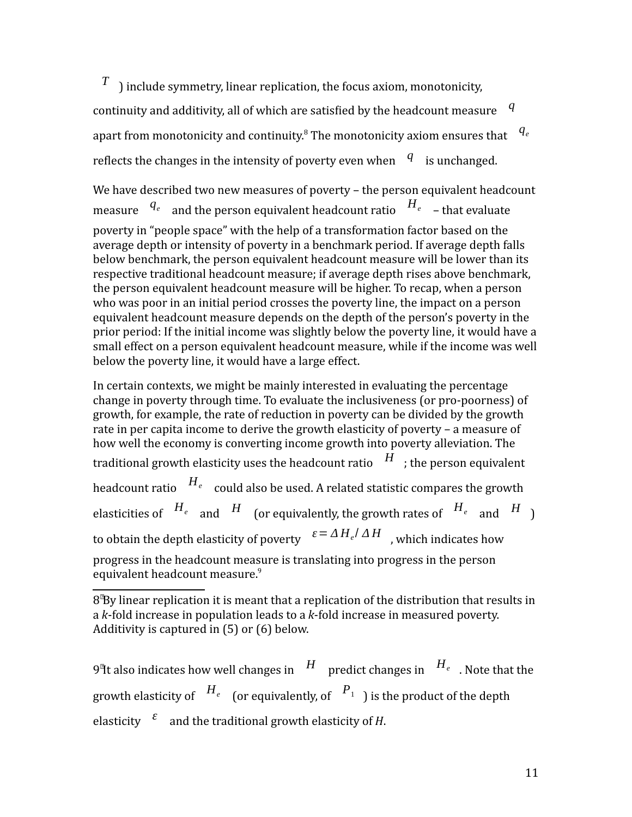*T* ) include symmetry, linear replication, the focus axiom, monotonicity, continuity and additivity, all of which are satisfied by the headcount measure *<sup>q</sup>* apart from monotonicity and continuity. $^8$  The monotonicity axiom ensures that  $\quad \, q_e$ reflects the changes in the intensity of poverty even when  $q$  is unchanged.

We have described two new measures of poverty - the person equivalent headcount measure  $q_e$  and the person equivalent headcount ratio  $H_e$  – that evaluate poverty in "people space" with the help of a transformation factor based on the average depth or intensity of poverty in a benchmark period. If average depth falls below benchmark, the person equivalent headcount measure will be lower than its respective traditional headcount measure; if average depth rises above benchmark, the person equivalent headcount measure will be higher. To recap, when a person who was poor in an initial period crosses the poverty line, the impact on a person equivalent headcount measure depends on the depth of the person's poverty in the prior period: If the initial income was slightly below the poverty line, it would have a small effect on a person equivalent headcount measure, while if the income was well below the poverty line, it would have a large effect.

In certain contexts, we might be mainly interested in evaluating the percentage change in poverty through time. To evaluate the inclusiveness (or pro-poorness) of growth, for example, the rate of reduction in poverty can be divided by the growth rate in per capita income to derive the growth elasticity of poverty – a measure of how well the economy is converting income growth into poverty alleviation. The traditional growth elasticity uses the headcount ratio  $H$ ; the person equivalent headcount ratio *He* could also be used. A related statistic compares the growth elasticities of  $H_e$  and  $H$  (or equivalently, the growth rates of  $H_e$  and  $H_1$ ) to obtain the depth elasticity of poverty  $\varepsilon = \Delta H_e / \Delta H$ , which indicates how progress in the headcount measure is translating into progress in the person equivalent headcount measure.<sup>9</sup>

<span id="page-11-1"></span> $9^{\degree}$ It also indicates how well changes in  $H_{\degree}$  predict changes in  $H_{\degree}$  . Note that the growth elasticity of  $H_e$  (or equivalently, of  $P_1$ ) is the product of the depth elasticity *ε* and the traditional growth elasticity of *H*.

<span id="page-11-0"></span><sup>8&</sup>lt;sup>n</sup>By linear replication it is meant that a replication of the distribution that results in a *k*-fold increase in population leads to a *k*-fold increase in measured poverty. Additivity is captured in (5) or (6) below.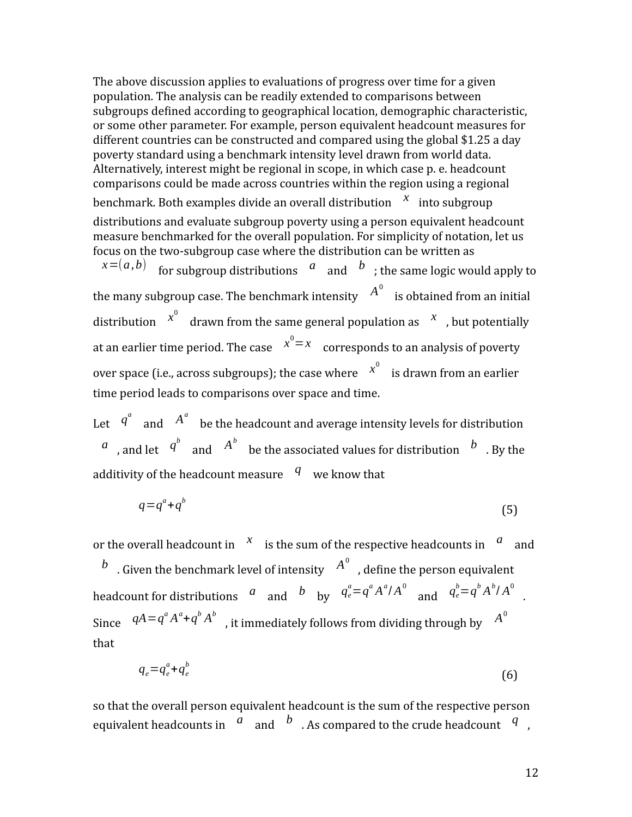The above discussion applies to evaluations of progress over time for a given population. The analysis can be readily extended to comparisons between subgroups defined according to geographical location, demographic characteristic, or some other parameter. For example, person equivalent headcount measures for different countries can be constructed and compared using the global \$1.25 a day poverty standard using a benchmark intensity level drawn from world data. Alternatively, interest might be regional in scope, in which case p. e. headcount comparisons could be made across countries within the region using a regional benchmark. Both examples divide an overall distribution *x* into subgroup distributions and evaluate subgroup poverty using a person equivalent headcount measure benchmarked for the overall population. For simplicity of notation, let us focus on the two-subgroup case where the distribution can be written as  $x=(a,b)$  for subgroup distributions  $a$  and  $b$ ; the same logic would apply to the many subgroup case. The benchmark intensity  $\begin{array}{cc} A^0 &$  is obtained from an initial distribution *x* 0 drawn from the same general population as *x* , but potentially at an earlier time period. The case  $\quad x^0 = x \quad$  corresponds to an analysis of poverty over space (i.e., across subgroups); the case where *x* 0 is drawn from an earlier time period leads to comparisons over space and time.

Let  $q^a$  and  $A^a$  be the headcount and average intensity levels for distribution  $\alpha$  , and let  $\left\langle q^b\right\rangle$  and  $\left\langle A^b\right\rangle$  be the associated values for distribution  $\left\langle b\right\rangle$  . By the additivity of the headcount measure  $q$  we know that

$$
q = q^a + q^b \tag{5}
$$

or the overall headcount in  $X$  is the sum of the respective headcounts in  $A$  and  $b$  . Given the benchmark level of intensity  $A^0$  , define the person equivalent headcount for distributions  $\begin{array}{ccc} a & \text{and} & b \quad \text{by} & q_e^a = q^a A^a / A^0 & \text{and} & q_e^b = q^b A^b / A^0 \end{array}$ . Since  $qA = q^a A^a + q^b A^b$  , it immediately follows from dividing through by  $A^0$ that

$$
q_e = q_e^a + q_e^b \tag{6}
$$

so that the overall person equivalent headcount is the sum of the respective person equivalent headcounts in  $\begin{pmatrix} a & a \end{pmatrix}$  and  $\begin{pmatrix} b & c \end{pmatrix}$ . As compared to the crude headcount  $\begin{pmatrix} q & c \end{pmatrix}$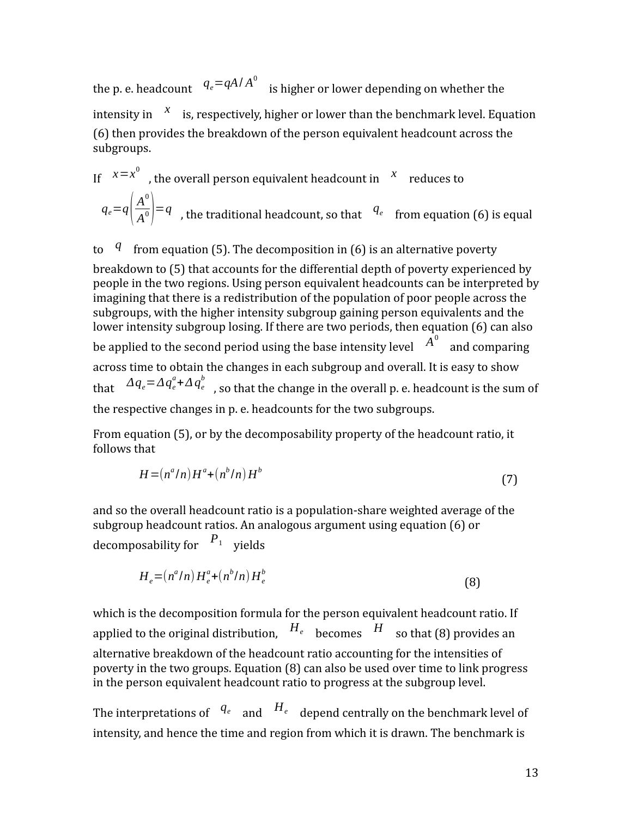the p. e. headcount  $q_e = qA/A^0$  is higher or lower depending on whether the intensity in  $\chi$  is, respectively, higher or lower than the benchmark level. Equation (6) then provides the breakdown of the person equivalent headcount across the subgroups.

If 
$$
x=x^0
$$
, the overall person equivalent headcount in  $x$  reduces to  
\n
$$
q_e = q \left(\frac{A^0}{A^0}\right) = q
$$
, the traditional headcount, so that  $q_e$  from equation (6) is equal

to *q* from equation (5). The decomposition in (6) is an alternative poverty breakdown to (5) that accounts for the differential depth of poverty experienced by people in the two regions. Using person equivalent headcounts can be interpreted by imagining that there is a redistribution of the population of poor people across the subgroups, with the higher intensity subgroup gaining person equivalents and the lower intensity subgroup losing. If there are two periods, then equation (6) can also be applied to the second period using the base intensity level  $\overline{A}^0$  and comparing across time to obtain the changes in each subgroup and overall. It is easy to show that  $\Delta\,_q{}^e\!=\!\Delta\,q^a_{e}\!+\!\Delta\,q^b_{e}$  , so that the change in the overall p. e. headcount is the sum of the respective changes in p. e. headcounts for the two subgroups.

From equation (5), or by the decomposability property of the headcount ratio, it follows that

$$
H = (na/n)Ha + (nb/n)Hb
$$
\n(7)

and so the overall headcount ratio is a population-share weighted average of the subgroup headcount ratios. An analogous argument using equation (6) or decomposability for  $P_1$  yields

$$
H_e = (n^a/n) H_e^a + (n^b/n) H_e^b \tag{8}
$$

which is the decomposition formula for the person equivalent headcount ratio. If applied to the original distribution,  $H_e$  becomes  $H$  so that (8) provides an alternative breakdown of the headcount ratio accounting for the intensities of poverty in the two groups. Equation (8) can also be used over time to link progress in the person equivalent headcount ratio to progress at the subgroup level.

The interpretations of  $q_e$  and  $H_e$  depend centrally on the benchmark level of intensity, and hence the time and region from which it is drawn. The benchmark is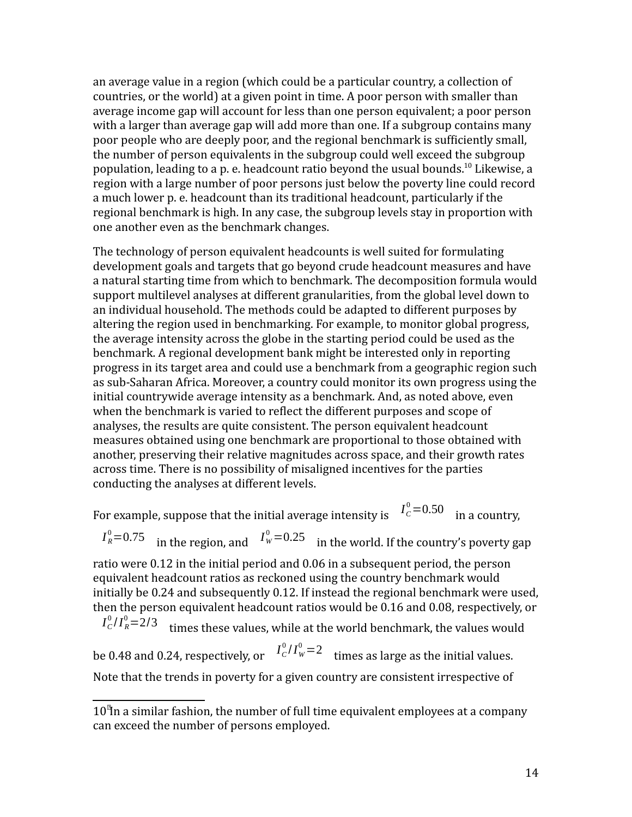an average value in a region (which could be a particular country, a collection of countries, or the world) at a given point in time. A poor person with smaller than average income gap will account for less than one person equivalent; a poor person with a larger than average gap will add more than one. If a subgroup contains many poor people who are deeply poor, and the regional benchmark is sufficiently small, the number of person equivalents in the subgroup could well exceed the subgroup population, leading to a p. e. headcount ratio beyond the usual bounds.<sup>10</sup> Likewise, a region with a large number of poor persons just below the poverty line could record a much lower p. e. headcount than its traditional headcount, particularly if the regional benchmark is high. In any case, the subgroup levels stay in proportion with one another even as the benchmark changes.

The technology of person equivalent headcounts is well suited for formulating development goals and targets that go beyond crude headcount measures and have a natural starting time from which to benchmark. The decomposition formula would support multilevel analyses at different granularities, from the global level down to an individual household. The methods could be adapted to different purposes by altering the region used in benchmarking. For example, to monitor global progress, the average intensity across the globe in the starting period could be used as the benchmark. A regional development bank might be interested only in reporting progress in its target area and could use a benchmark from a geographic region such as sub-Saharan Africa. Moreover, a country could monitor its own progress using the initial countrywide average intensity as a benchmark. And, as noted above, even when the benchmark is varied to reflect the different purposes and scope of analyses, the results are quite consistent. The person equivalent headcount measures obtained using one benchmark are proportional to those obtained with another, preserving their relative magnitudes across space, and their growth rates across time. There is no possibility of misaligned incentives for the parties conducting the analyses at different levels.

For example, suppose that the initial average intensity is  $\quad I_c^0\!\!=\!0.50\quad$  in a country,

 $I_R^0$ =0.75 in the region, and  $I_W^0$ =0.25 in the world. If the country's poverty gap

ratio were 0.12 in the initial period and 0.06 in a subsequent period, the person equivalent headcount ratios as reckoned using the country benchmark would initially be 0.24 and subsequently 0.12. If instead the regional benchmark were used, then the person equivalent headcount ratios would be 0.16 and 0.08, respectively, or  $I_C^0/I_R^0$ times these values, while at the world benchmark, the values would be 0.48 and 0.24, respectively, or  $I_c^0/I_w^0$  = 2 times as large as the initial values.

Note that the trends in poverty for a given country are consistent irrespective of

<span id="page-14-0"></span> $10<sup>th</sup>$ n a similar fashion, the number of full time equivalent employees at a company can exceed the number of persons employed.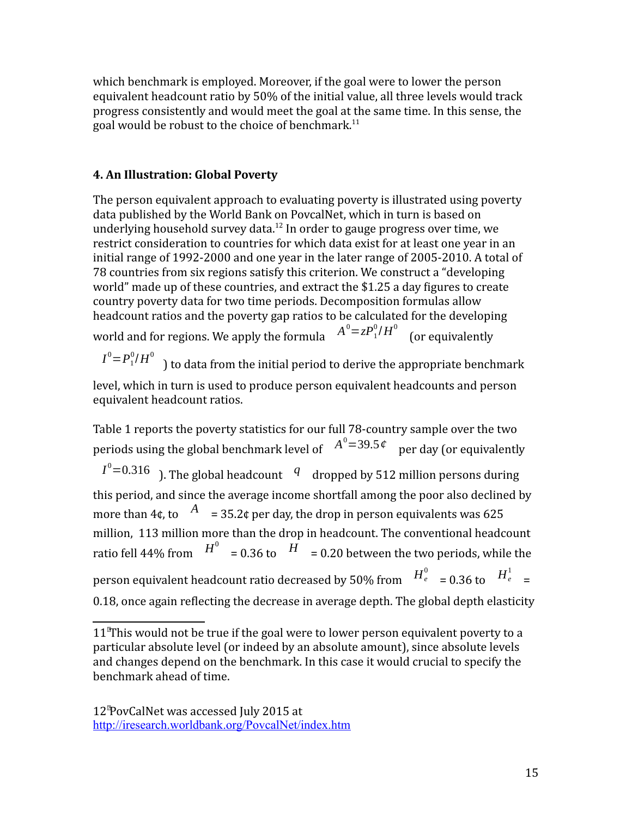which benchmark is employed. Moreover, if the goal were to lower the person equivalent headcount ratio by 50% of the initial value, all three levels would track progress consistently and would meet the goal at the same time. In this sense, the goal would be robust to the choice of benchmark. $^{11}$ 

## **4. An Illustration: Global Poverty**

The person equivalent approach to evaluating poverty is illustrated using poverty data published by the World Bank on PovcalNet, which in turn is based on underlying household survey data.<sup>12</sup> In order to gauge progress over time, we restrict consideration to countries for which data exist for at least one year in an initial range of 1992-2000 and one year in the later range of 2005-2010. A total of 78 countries from six regions satisfy this criterion. We construct a "developing world" made up of these countries, and extract the \$1.25 a day figures to create country poverty data for two time periods. Decomposition formulas allow headcount ratios and the poverty gap ratios to be calculated for the developing world and for regions. We apply the formula  $\quad A^0 \! = \! z P^0_1/H^0 \quad$  (or equivalently

 $I^0$ = $P_1^0$ / $H^0$   $\;\;\;\;$  ) to data from the initial period to derive the appropriate benchmark level, which in turn is used to produce person equivalent headcounts and person

equivalent headcount ratios.

Table 1 reports the poverty statistics for our full 78-country sample over the two periods using the global benchmark level of  $\quad$   $A^0$   $=$   $39.5$   $\ell$   $\quad$  per day (or equivalently  $I^0$ =0.316 ). The global headcount *q* dropped by 512 million persons during this period, and since the average income shortfall among the poor also declined by more than 4¢, to  $A = 35.2$ ¢ per day, the drop in person equivalents was 625 million, 113 million more than the drop in headcount. The conventional headcount ratio fell 44% from  $H^0$  = 0.36 to  $H$  = 0.20 between the two periods, while the person equivalent headcount ratio decreased by 50% from  $\begin{array}{cc} H_{e}^{0} & =0.36 \, \mathrm{to} & H_{e}^{1} =0 \end{array}$ 0.18, once again reflecting the decrease in average depth. The global depth elasticity

<span id="page-15-0"></span><sup>11&</sup>lt;sup>ª</sup>This would not be true if the goal were to lower person equivalent poverty to a particular absolute level (or indeed by an absolute amount), since absolute levels and changes depend on the benchmark. In this case it would crucial to specify the benchmark ahead of time.

<span id="page-15-1"></span><sup>12&</sup>lt;sup>®</sup>PovCalNet was accessed July 2015 at <http://iresearch.worldbank.org/PovcalNet/index.htm>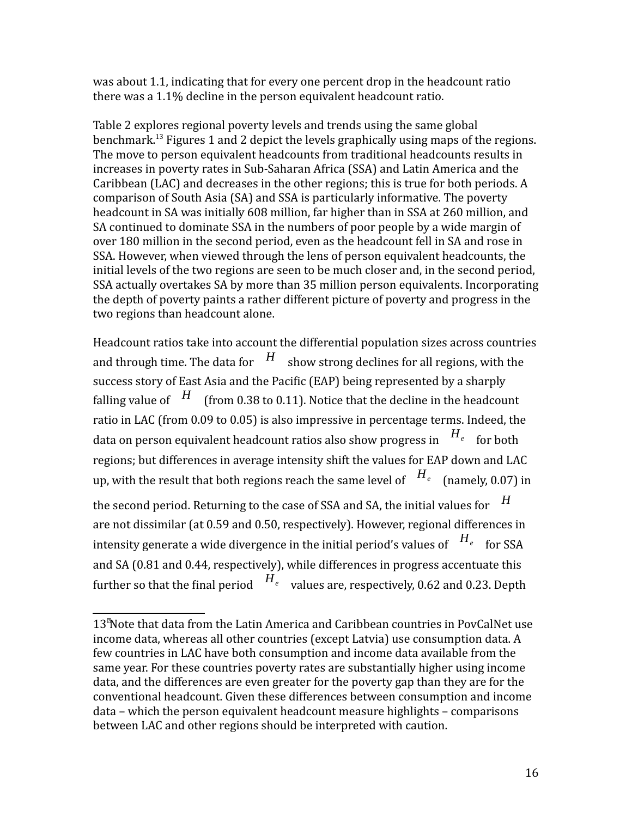was about 1.1, indicating that for every one percent drop in the headcount ratio there was a 1.1% decline in the person equivalent headcount ratio.

Table 2 explores regional poverty levels and trends using the same global benchmark.<sup>13</sup> Figures 1 and 2 depict the levels graphically using maps of the regions. The move to person equivalent headcounts from traditional headcounts results in increases in poverty rates in Sub-Saharan Africa (SSA) and Latin America and the Caribbean (LAC) and decreases in the other regions; this is true for both periods. A comparison of South Asia (SA) and SSA is particularly informative. The poverty headcount in SA was initially 608 million, far higher than in SSA at 260 million, and SA continued to dominate SSA in the numbers of poor people by a wide margin of over 180 million in the second period, even as the headcount fell in SA and rose in SSA. However, when viewed through the lens of person equivalent headcounts, the initial levels of the two regions are seen to be much closer and, in the second period, SSA actually overtakes SA by more than 35 million person equivalents. Incorporating the depth of poverty paints a rather different picture of poverty and progress in the two regions than headcount alone.

Headcount ratios take into account the differential population sizes across countries and through time. The data for *H* show strong declines for all regions, with the success story of East Asia and the Pacific (EAP) being represented by a sharply falling value of  $H$  (from 0.38 to 0.11). Notice that the decline in the headcount ratio in LAC (from 0.09 to 0.05) is also impressive in percentage terms. Indeed, the data on person equivalent headcount ratios also show progress in *He* for both regions; but differences in average intensity shift the values for EAP down and LAC up, with the result that both regions reach the same level of  $H_e$  (namely, 0.07) in

the second period. Returning to the case of SSA and SA, the initial values for *H* are not dissimilar (at 0.59 and 0.50, respectively). However, regional differences in intensity generate a wide divergence in the initial period's values of  $H_e$  for SSA and SA (0.81 and 0.44, respectively), while differences in progress accentuate this further so that the final period *He* values are, respectively, 0.62 and 0.23. Depth

<span id="page-16-0"></span><sup>13&</sup>lt;sup>n</sup>Note that data from the Latin America and Caribbean countries in PovCalNet use income data, whereas all other countries (except Latvia) use consumption data. A few countries in LAC have both consumption and income data available from the same year. For these countries poverty rates are substantially higher using income data, and the differences are even greater for the poverty gap than they are for the conventional headcount. Given these differences between consumption and income data – which the person equivalent headcount measure highlights – comparisons between LAC and other regions should be interpreted with caution.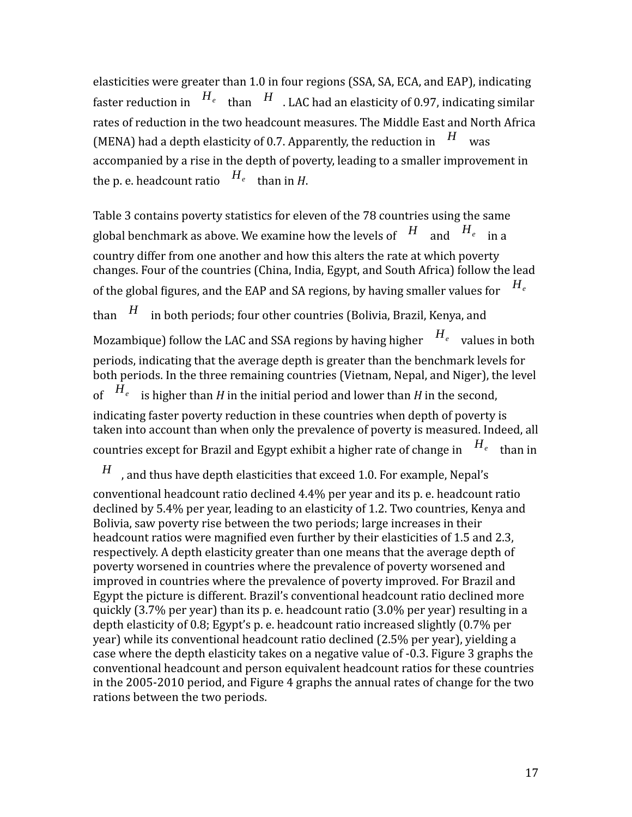elasticities were greater than 1.0 in four regions (SSA, SA, ECA, and EAP), indicating faster reduction in  $H_e$  than  $H$ . LAC had an elasticity of 0.97, indicating similar rates of reduction in the two headcount measures. The Middle East and North Africa (MENA) had a depth elasticity of 0.7. Apparently, the reduction in  $H_{\text{was}}$ accompanied by a rise in the depth of poverty, leading to a smaller improvement in the p. e. headcount ratio  $H_e$  than in *H*.

Table 3 contains poverty statistics for eleven of the 78 countries using the same global benchmark as above. We examine how the levels of *H* and *He* in a country differ from one another and how this alters the rate at which poverty changes. Four of the countries (China, India, Egypt, and South Africa) follow the lead of the global figures, and the EAP and SA regions, by having smaller values for *He* than *H* in both periods; four other countries (Bolivia, Brazil, Kenya, and Mozambique) follow the LAC and SSA regions by having higher  $H_e$  values in both periods, indicating that the average depth is greater than the benchmark levels for both periods. In the three remaining countries (Vietnam, Nepal, and Niger), the level of  $H_e$  is higher than *H* in the initial period and lower than *H* in the second, indicating faster poverty reduction in these countries when depth of poverty is taken into account than when only the prevalence of poverty is measured. Indeed, all countries except for Brazil and Egypt exhibit a higher rate of change in *He* than in *H* , and thus have depth elasticities that exceed 1.0. For example, Nepal's conventional headcount ratio declined 4.4% per year and its p. e. headcount ratio declined by 5.4% per year, leading to an elasticity of 1.2. Two countries, Kenya and Bolivia, saw poverty rise between the two periods; large increases in their headcount ratios were magnified even further by their elasticities of 1.5 and 2.3, respectively. A depth elasticity greater than one means that the average depth of poverty worsened in countries where the prevalence of poverty worsened and improved in countries where the prevalence of poverty improved. For Brazil and Egypt the picture is different. Brazil's conventional headcount ratio declined more quickly (3.7% per year) than its p. e. headcount ratio (3.0% per year) resulting in a depth elasticity of 0.8; Egypt's p. e. headcount ratio increased slightly (0.7% per year) while its conventional headcount ratio declined (2.5% per year), yielding a case where the depth elasticity takes on a negative value of -0.3. Figure 3 graphs the conventional headcount and person equivalent headcount ratios for these countries in the 2005-2010 period, and Figure 4 graphs the annual rates of change for the two rations between the two periods.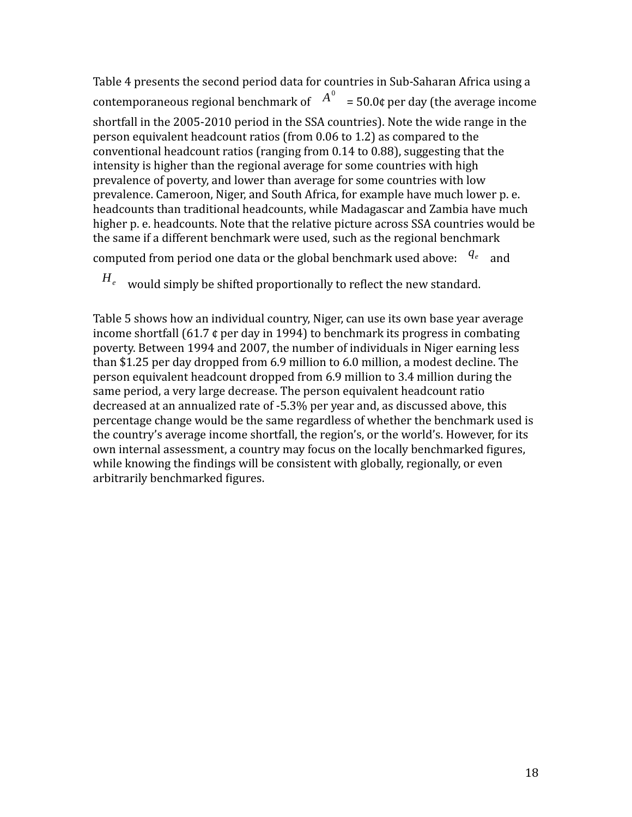Table 4 presents the second period data for countries in Sub-Saharan Africa using a contemporaneous regional benchmark of  $\overline{\phantom{x}}^{A^0}=50.0$ ¢ per day (the average income shortfall in the 2005-2010 period in the SSA countries). Note the wide range in the person equivalent headcount ratios (from 0.06 to 1.2) as compared to the conventional headcount ratios (ranging from 0.14 to 0.88), suggesting that the intensity is higher than the regional average for some countries with high prevalence of poverty, and lower than average for some countries with low prevalence. Cameroon, Niger, and South Africa, for example have much lower p. e. headcounts than traditional headcounts, while Madagascar and Zambia have much higher p. e. headcounts. Note that the relative picture across SSA countries would be the same if a different benchmark were used, such as the regional benchmark

computed from period one data or the global benchmark used above: *qe* and

*H<sub>e</sub>* would simply be shifted proportionally to reflect the new standard.

Table 5 shows how an individual country, Niger, can use its own base year average income shortfall (61.7 ¢ per day in 1994) to benchmark its progress in combating poverty. Between 1994 and 2007, the number of individuals in Niger earning less than \$1.25 per day dropped from 6.9 million to 6.0 million, a modest decline. The person equivalent headcount dropped from 6.9 million to 3.4 million during the same period, a very large decrease. The person equivalent headcount ratio decreased at an annualized rate of -5.3% per year and, as discussed above, this percentage change would be the same regardless of whether the benchmark used is the country's average income shortfall, the region's, or the world's. However, for its own internal assessment, a country may focus on the locally benchmarked figures, while knowing the findings will be consistent with globally, regionally, or even arbitrarily benchmarked figures.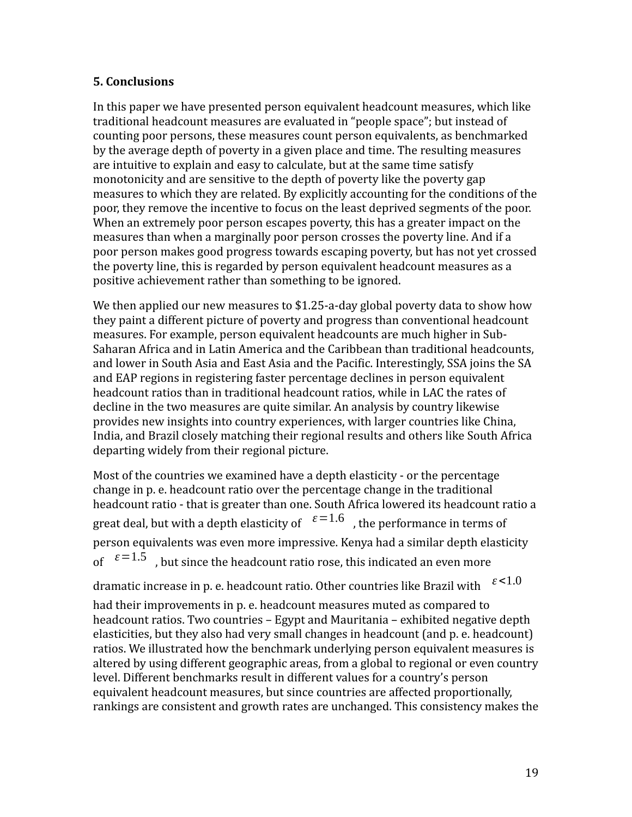## **5. Conclusions**

In this paper we have presented person equivalent headcount measures, which like traditional headcount measures are evaluated in "people space"; but instead of counting poor persons, these measures count person equivalents, as benchmarked by the average depth of poverty in a given place and time. The resulting measures are intuitive to explain and easy to calculate, but at the same time satisfy monotonicity and are sensitive to the depth of poverty like the poverty gap measures to which they are related. By explicitly accounting for the conditions of the poor, they remove the incentive to focus on the least deprived segments of the poor. When an extremely poor person escapes poverty, this has a greater impact on the measures than when a marginally poor person crosses the poverty line. And if a poor person makes good progress towards escaping poverty, but has not yet crossed the poverty line, this is regarded by person equivalent headcount measures as a positive achievement rather than something to be ignored.

We then applied our new measures to \$1.25-a-day global poverty data to show how they paint a different picture of poverty and progress than conventional headcount measures. For example, person equivalent headcounts are much higher in Sub-Saharan Africa and in Latin America and the Caribbean than traditional headcounts, and lower in South Asia and East Asia and the Pacific. Interestingly, SSA joins the SA and EAP regions in registering faster percentage declines in person equivalent headcount ratios than in traditional headcount ratios, while in LAC the rates of decline in the two measures are quite similar. An analysis by country likewise provides new insights into country experiences, with larger countries like China, India, and Brazil closely matching their regional results and others like South Africa departing widely from their regional picture.

Most of the countries we examined have a depth elasticity - or the percentage change in p. e. headcount ratio over the percentage change in the traditional headcount ratio - that is greater than one. South Africa lowered its headcount ratio a great deal, but with a depth elasticity of  $\epsilon$ <sup>=1.6</sup>, the performance in terms of person equivalents was even more impressive. Kenya had a similar depth elasticity of  $\varepsilon$ =1.5 , but since the headcount ratio rose, this indicated an even more

dramatic increase in p. e. headcount ratio. Other countries like Brazil with *ε*<1.0

had their improvements in p. e. headcount measures muted as compared to headcount ratios. Two countries – Egypt and Mauritania – exhibited negative depth elasticities, but they also had very small changes in headcount (and p. e. headcount) ratios. We illustrated how the benchmark underlying person equivalent measures is altered by using different geographic areas, from a global to regional or even country level. Different benchmarks result in different values for a country's person equivalent headcount measures, but since countries are affected proportionally, rankings are consistent and growth rates are unchanged. This consistency makes the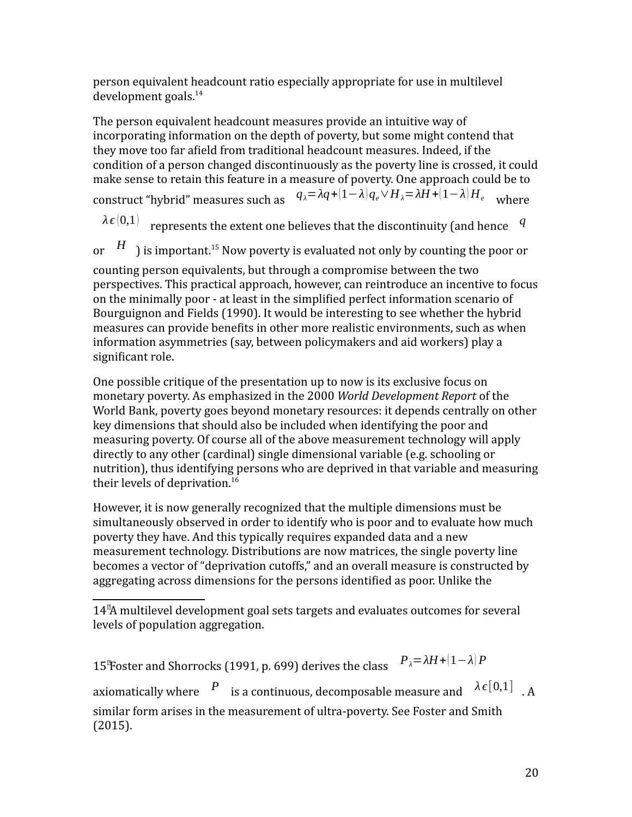person equivalent headcount ratio especially appropriate for use in multilevel development goals[.14](#page-20-0)

The person equivalent headcount measures provide an intuitive way of incorporating information on the depth of poverty, but some might contend that they move too far afield from traditional headcount measures. Indeed, if the condition of a person changed discontinuously as the poverty line is crossed, it could make sense to retain this feature in a measure of poverty. One approach could be to construct "hybrid" measures such as  $q_{\lambda} = \lambda q + (1 - \lambda) q_e \vee H_{\lambda} = \lambda H + (1 - \lambda) H_e$  where

 $\lambda \epsilon$  (0,1) represents the extent one believes that the discontinuity (and hence *q* 

or  $H$ ) is important.<sup>15</sup> Now poverty is evaluated not only by counting the poor or

counting person equivalents, but through a compromise between the two perspectives. This practical approach, however, can reintroduce an incentive to focus on the minimally poor - at least in the simplified perfect information scenario of Bourguignon and Fields (1990). It would be interesting to see whether the hybrid measures can provide benefits in other more realistic environments, such as when information asymmetries (say, between policymakers and aid workers) play a significant role.

One possible critique of the presentation up to now is its exclusive focus on monetary poverty. As emphasized in the 2000 *World Development Report* of the World Bank, poverty goes beyond monetary resources: it depends centrally on other key dimensions that should also be included when identifying the poor and measuring poverty. Of course all of the above measurement technology will apply directly to any other (cardinal) single dimensional variable (e.g. schooling or nutrition), thus identifying persons who are deprived in that variable and measuring their levels of deprivation.<sup>16</sup>

However, it is now generally recognized that the multiple dimensions must be simultaneously observed in order to identify who is poor and to evaluate how much poverty they have. And this typically requires expanded data and a new measurement technology. Distributions are now matrices, the single poverty line becomes a vector of "deprivation cutoffs," and an overall measure is constructed by aggregating across dimensions for the persons identified as poor. Unlike the

<span id="page-20-1"></span>15j Foster and Shorrocks (1991, p. 699) derives the class *Pλ*=*λH*+(1−*λ*) *<sup>P</sup>* axiomatically where  $P$  is a continuous, decomposable measure and  $\lambda \epsilon [0,1]$  . A similar form arises in the measurement of ultra-poverty. See Foster and Smith (2015).

<span id="page-20-0"></span><sup>14&</sup>lt;sup>n</sup>A multilevel development goal sets targets and evaluates outcomes for several levels of population aggregation.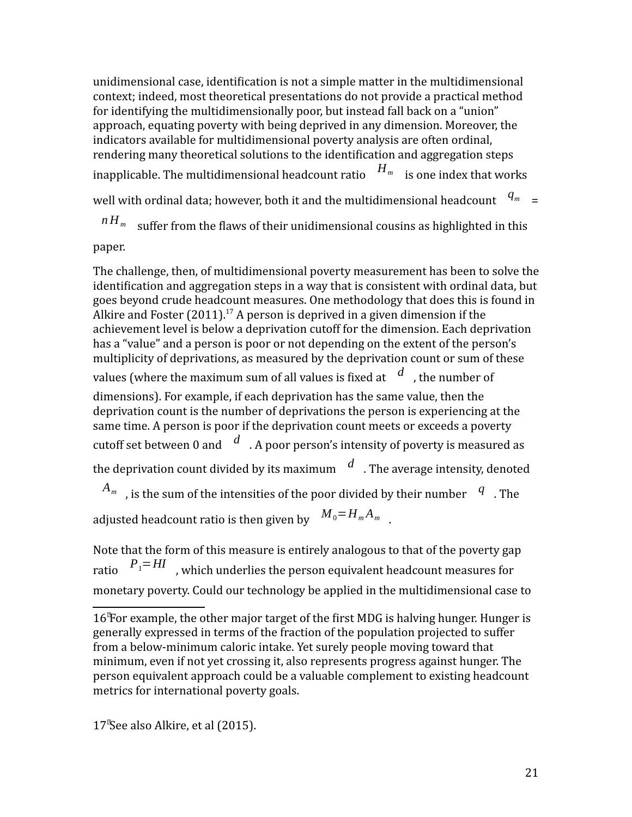unidimensional case, identification is not a simple matter in the multidimensional context; indeed, most theoretical presentations do not provide a practical method for identifying the multidimensionally poor, but instead fall back on a "union" approach, equating poverty with being deprived in any dimension. Moreover, the indicators available for multidimensional poverty analysis are often ordinal, rendering many theoretical solutions to the identification and aggregation steps inapplicable. The multidimensional headcount ratio  $H_m$  is one index that works well with ordinal data; however, both it and the multidimensional headcount  $q_m$  =

 $nH_m$  suffer from the flaws of their unidimensional cousins as highlighted in this

paper.

The challenge, then, of multidimensional poverty measurement has been to solve the identification and aggregation steps in a way that is consistent with ordinal data, but goes beyond crude headcount measures. One methodology that does this is found in Alkire and Foster  $(2011)^{17}$  A person is deprived in a given dimension if the achievement level is below a deprivation cutoff for the dimension. Each deprivation has a "value" and a person is poor or not depending on the extent of the person's multiplicity of deprivations, as measured by the deprivation count or sum of these values (where the maximum sum of all values is fixed at *<sup>d</sup>* , the number of dimensions). For example, if each deprivation has the same value, then the deprivation count is the number of deprivations the person is experiencing at the same time. A person is poor if the deprivation count meets or exceeds a poverty cutoff set between 0 and *<sup>d</sup>* . A poor person's intensity of poverty is measured as the deprivation count divided by its maximum  $\sigma$ . The average intensity, denoted  $A_m$ , is the sum of the intensities of the poor divided by their number  $q$ . The adjusted headcount ratio is then given by  $M_0 = H_m A_m$ .

Note that the form of this measure is entirely analogous to that of the poverty gap ratio  $P_1 = H I$ , which underlies the person equivalent headcount measures for monetary poverty. Could our technology be applied in the multidimensional case to

<span id="page-21-0"></span>17<sup>°</sup>See also Alkire, et al (2015).

<sup>16&</sup>lt;sup>®</sup> For example, the other major target of the first MDG is halving hunger. Hunger is generally expressed in terms of the fraction of the population projected to suffer from a below-minimum caloric intake. Yet surely people moving toward that minimum, even if not yet crossing it, also represents progress against hunger. The person equivalent approach could be a valuable complement to existing headcount metrics for international poverty goals.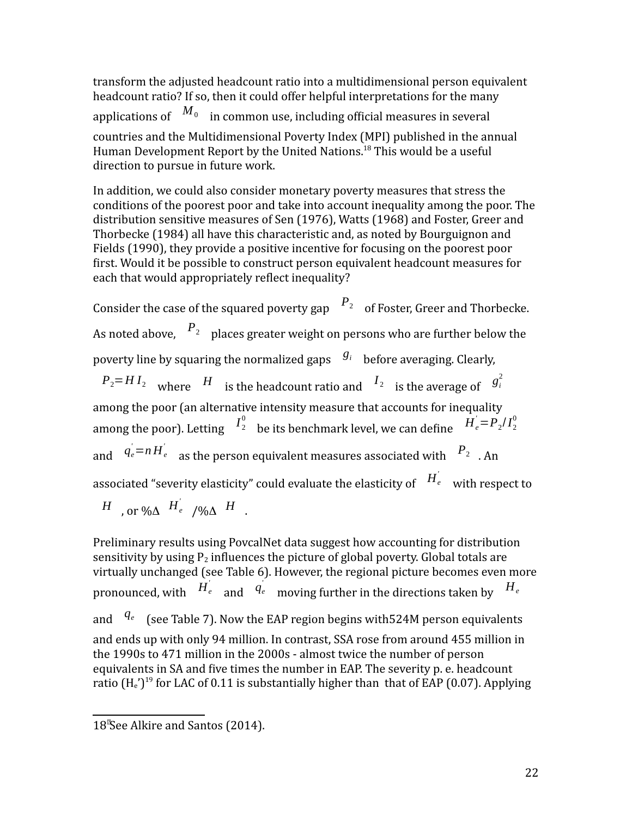transform the adjusted headcount ratio into a multidimensional person equivalent headcount ratio? If so, then it could offer helpful interpretations for the many applications of  $M_0$  in common use, including official measures in several countries and the Multidimensional Poverty Index (MPI) published in the annual Human Development Report by the United Nations.<sup>18</sup> This would be a useful direction to pursue in future work.

In addition, we could also consider monetary poverty measures that stress the conditions of the poorest poor and take into account inequality among the poor. The distribution sensitive measures of Sen (1976), Watts (1968) and Foster, Greer and Thorbecke (1984) all have this characteristic and, as noted by Bourguignon and Fields (1990), they provide a positive incentive for focusing on the poorest poor first. Would it be possible to construct person equivalent headcount measures for each that would appropriately reflect inequality?

Consider the case of the squared poverty gap  $P_2$  of Foster, Greer and Thorbecke. As noted above,  $P_2$  places greater weight on persons who are further below the poverty line by squaring the normalized gaps  $g_i$  before averaging. Clearly,

 $P_2 = H I_2$  where *H* is the headcount ratio and  $I_2$  is the average of  $g_i^2$ among the poor (an alternative intensity measure that accounts for inequality among the poor). Letting  $\begin{array}{cc} I_2^0 &$  be its benchmark level, we can define  $\end{array} \begin{array}{cc} H_e^{'\!} \! = \! P_2/I_2^0 \end{array}$ and  $q_e^{'}=nH_e^{'}$  as the person equivalent measures associated with  $\left| \begin{array}{cc} P_2 \end{array} \right.$  . An associated "severity elasticity" could evaluate the elasticity of  $\begin{array}{cc} H_{e}^{'} & \text{with respect to} \end{array}$  $H$ , or % $\Delta$   $H_e$ <sup>'</sup> /% $\Delta$   $H$  .

Preliminary results using PovcalNet data suggest how accounting for distribution sensitivity by using  $P_2$  influences the picture of global poverty. Global totals are virtually unchanged (see Table 6). However, the regional picture becomes even more pronounced, with  $\left| H_{e} \right|$  and  $\left| q_{e} \right|$  moving further in the directions taken by  $\left| H_{e} \right|$ and <sup>*q<sub>e</sub>*</sup> (see Table 7). Now the EAP region begins with 524M person equivalents and ends up with only 94 million. In contrast, SSA rose from around 455 million in the 1990s to 471 million in the 2000s - almost twice the number of person equivalents in SA and five times the number in EAP. The severity p. e. headcount ratio  $(H_e')^{19}$  for LAC of 0.11 is substantially higher than that of EAP (0.07). Applying

<span id="page-22-0"></span><sup>18&</sup>lt;sup>°</sup>See Alkire and Santos (2014).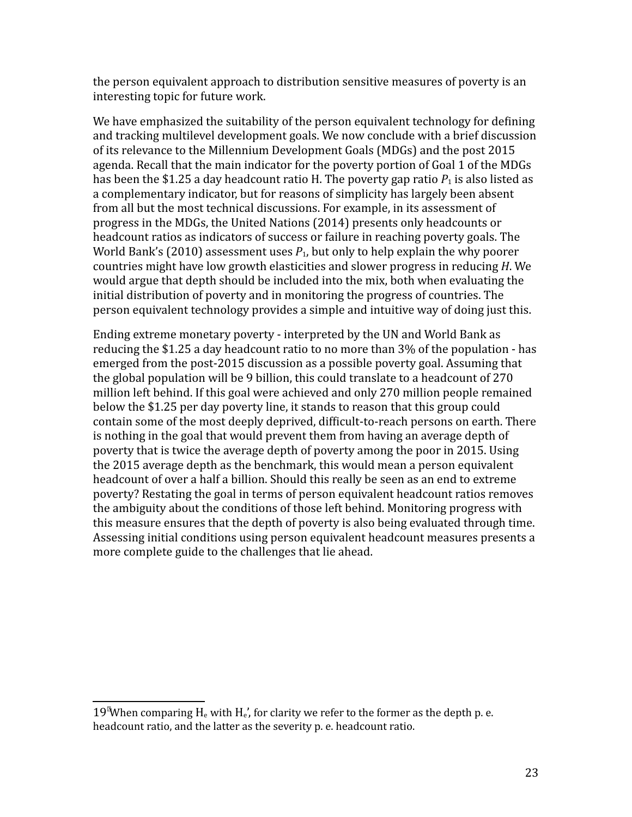the person equivalent approach to distribution sensitive measures of poverty is an interesting topic for future work.

We have emphasized the suitability of the person equivalent technology for defining and tracking multilevel development goals. We now conclude with a brief discussion of its relevance to the Millennium Development Goals (MDGs) and the post 2015 agenda. Recall that the main indicator for the poverty portion of Goal 1 of the MDGs has been the \$1.25 a day headcount ratio H. The poverty gap ratio  $P_1$  is also listed as a complementary indicator, but for reasons of simplicity has largely been absent from all but the most technical discussions. For example, in its assessment of progress in the MDGs, the United Nations (2014) presents only headcounts or headcount ratios as indicators of success or failure in reaching poverty goals. The World Bank's (2010) assessment uses  $P_1$ , but only to help explain the why poorer countries might have low growth elasticities and slower progress in reducing *H*. We would argue that depth should be included into the mix, both when evaluating the initial distribution of poverty and in monitoring the progress of countries. The person equivalent technology provides a simple and intuitive way of doing just this.

Ending extreme monetary poverty - interpreted by the UN and World Bank as reducing the \$1.25 a day headcount ratio to no more than 3% of the population - has emerged from the post-2015 discussion as a possible poverty goal. Assuming that the global population will be 9 billion, this could translate to a headcount of 270 million left behind. If this goal were achieved and only 270 million people remained below the \$1.25 per day poverty line, it stands to reason that this group could contain some of the most deeply deprived, difficult-to-reach persons on earth. There is nothing in the goal that would prevent them from having an average depth of poverty that is twice the average depth of poverty among the poor in 2015. Using the 2015 average depth as the benchmark, this would mean a person equivalent headcount of over a half a billion. Should this really be seen as an end to extreme poverty? Restating the goal in terms of person equivalent headcount ratios removes the ambiguity about the conditions of those left behind. Monitoring progress with this measure ensures that the depth of poverty is also being evaluated through time. Assessing initial conditions using person equivalent headcount measures presents a more complete guide to the challenges that lie ahead.

<sup>19&</sup>lt;sup>n</sup>When comparing H<sub>e</sub> with H<sub>e</sub>', for clarity we refer to the former as the depth p. e. headcount ratio, and the latter as the severity p. e. headcount ratio.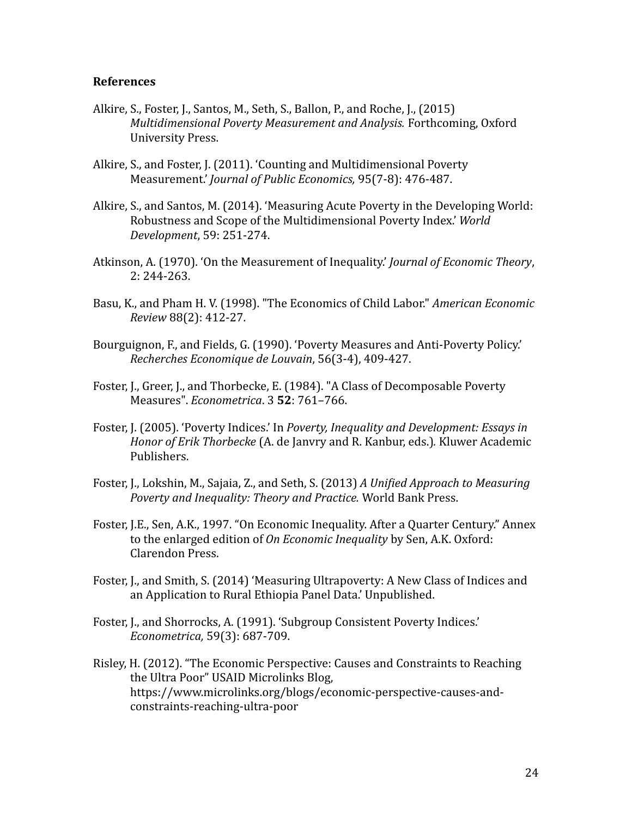#### **References**

- Alkire, S., Foster, J., Santos, M., Seth, S., Ballon, P., and Roche, J., (2015) *Multidimensional Poverty Measurement and Analysis.* Forthcoming, Oxford University Press.
- Alkire, S., and Foster, J. (2011). 'Counting and Multidimensional Poverty Measurement.' *Journal of Public Economics,* 95(7-8): 476-487.
- Alkire, S., and Santos, M. (2014). 'Measuring Acute Poverty in the Developing World: Robustness and Scope of the Multidimensional Poverty Index.' *World Development*, 59: 251-274.
- Atkinson, A. (1970). 'On the Measurement of Inequality.' *Journal of Economic Theory*, 2: 244-263.
- Basu, K., and Pham H. V. (1998). "The Economics of Child Labor." *American Economic Review* 88(2): 412-27.
- Bourguignon, F., and Fields, G. (1990). 'Poverty Measures and Anti-Poverty Policy.' *Recherches Economique de Louvain*, 56(3-4), 409-427.
- Foster, J., Greer, J., and Thorbecke, E. (1984). "A Class of Decomposable Poverty Measures". *Econometrica*. 3 **52**: 761–766.
- Foster, J. (2005). 'Poverty Indices.' In *Poverty, Inequality and Development: Essays in Honor of Erik Thorbecke* (A. de Janvry and R. Kanbur, eds.)*.* Kluwer Academic Publishers.
- Foster, J., Lokshin, M., Sajaia, Z., and Seth, S. (2013) *A Unified Approach to Measuring Poverty and Inequality: Theory and Practice.* World Bank Press.
- Foster, J.E., Sen, A.K., 1997. "On Economic Inequality. After a Quarter Century." Annex to the enlarged edition of *On Economic Inequality* by Sen, A.K. Oxford: Clarendon Press.
- Foster, J., and Smith, S. (2014) 'Measuring Ultrapoverty: A New Class of Indices and an Application to Rural Ethiopia Panel Data.' Unpublished.
- Foster, J., and Shorrocks, A. (1991). 'Subgroup Consistent Poverty Indices.' *Econometrica,* 59(3): 687-709.

Risley, H. (2012). "The Economic Perspective: Causes and Constraints to Reaching the Ultra Poor" USAID Microlinks Blog, https://www.microlinks.org/blogs/economic-perspective-causes-andconstraints-reaching-ultra-poor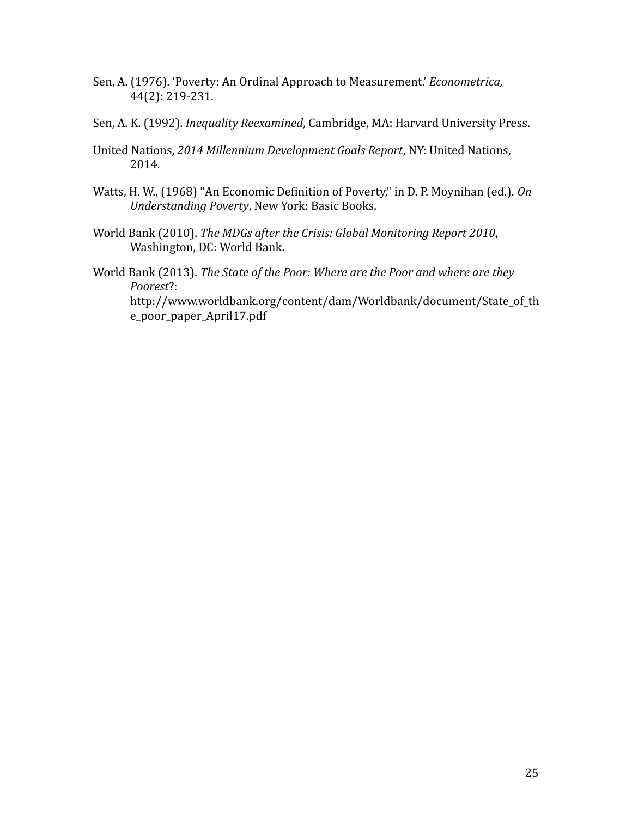- Sen, A. (1976). 'Poverty: An Ordinal Approach to Measurement.' *Econometrica,* 44(2): 219-231.
- Sen, A. K. (1992). *Inequality Reexamined*, Cambridge, MA: Harvard University Press.
- United Nations, *2014 Millennium Development Goals Report*, NY: United Nations, 2014.
- Watts, H. W., (1968) "An Economic Definition of Poverty," in D. P. Moynihan (ed.). *On Understanding Poverty*, New York: Basic Books.
- World Bank (2010). *The MDGs after the Crisis: Global Monitoring Report 2010*, Washington, DC: World Bank.
- World Bank (2013). *The State of the Poor: Where are the Poor and where are they Poorest*?:

http://www.worldbank.org/content/dam/Worldbank/document/State\_of\_th e\_poor\_paper\_April17.pdf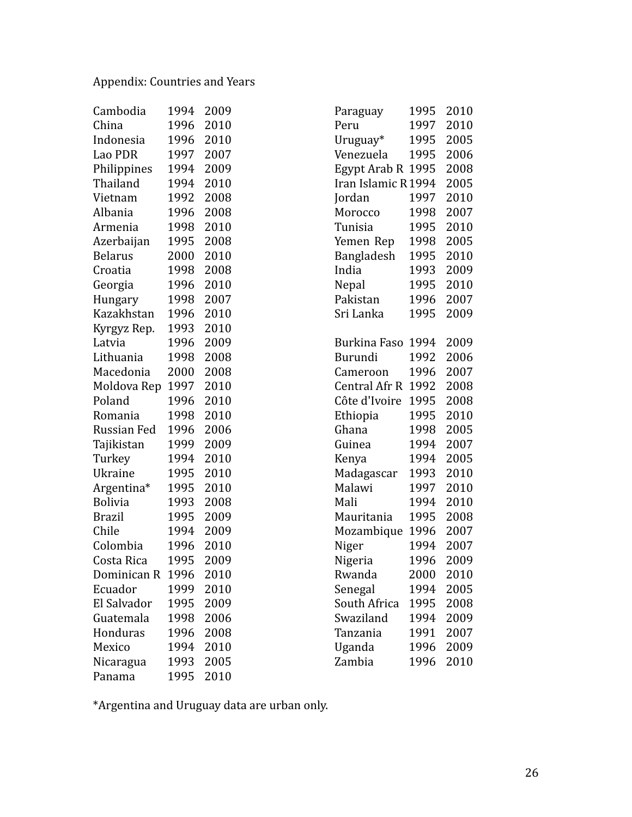# Appendix: Countries and Years

| Cambodia       | 1994 | 2009 |
|----------------|------|------|
| China          | 1996 | 2010 |
| Indonesia      | 1996 | 2010 |
| Lao PDR        | 1997 | 2007 |
| Philippines    | 1994 | 2009 |
| Thailand       | 1994 | 2010 |
| Vietnam        | 1992 | 2008 |
| Albania        | 1996 | 2008 |
| Armenia        | 1998 | 2010 |
| Azerbaijan     | 1995 | 2008 |
| <b>Belarus</b> | 2000 | 2010 |
| Croatia        | 1998 | 2008 |
| Georgia        | 1996 | 2010 |
| Hungary        | 1998 | 2007 |
| Kazakhstan     | 1996 | 2010 |
| Kyrgyz Rep.    | 1993 | 2010 |
| Latvia         | 1996 | 2009 |
| Lithuania      | 1998 | 2008 |
| Macedonia      | 2000 | 2008 |
| Moldova Rep    | 1997 | 2010 |
| Poland         | 1996 | 2010 |
| Romania        | 1998 | 2010 |
| Russian Fed    | 1996 | 2006 |
| Tajikistan     | 1999 | 2009 |
| Turkey         | 1994 | 2010 |
| Ukraine        | 1995 | 2010 |
| Argentina*     | 1995 | 2010 |
| <b>Bolivia</b> | 1993 | 2008 |
| <b>Brazil</b>  | 1995 | 2009 |
| Chile          | 1994 | 2009 |
| Colombia       | 1996 | 2010 |
| Costa Rica     | 1995 | 2009 |
| Dominican R    | 1996 | 2010 |
| Ecuador        | 1999 | 2010 |
| El Salvador    | 1995 | 2009 |
| Guatemala      | 1998 | 2006 |
| Honduras       | 1996 | 2008 |
| Mexico         | 1994 | 2010 |
| Nicaragua      | 1993 | 2005 |
| Panama         | 1995 | 2010 |

| Paraguay             | 1995 | 2010 |
|----------------------|------|------|
| Peru                 | 1997 | 2010 |
| Uruguay*             | 1995 | 2005 |
| Venezuela            | 1995 | 2006 |
| Egypt Arab R         | 1995 | 2008 |
| Iran Islamic R1994   |      | 2005 |
| Jordan               | 1997 | 2010 |
| Morocco              | 1998 | 2007 |
| Tunisia              | 1995 | 2010 |
| Yemen Rep            | 1998 | 2005 |
| Bangladesh           | 1995 | 2010 |
| India                | 1993 | 2009 |
| Nepal                | 1995 | 2010 |
| Pakistan             | 1996 | 2007 |
| Sri Lanka            | 1995 | 2009 |
|                      |      |      |
| Burkina Faso         | 1994 | 2009 |
| Burundi              | 1992 | 2006 |
| Cameroon             | 1996 | 2007 |
| <b>Central Afr R</b> | 1992 | 2008 |
| Côte d'Ivoire        | 1995 | 2008 |
| Ethiopia             | 1995 | 2010 |
| Ghana                | 1998 | 2005 |
| Guinea               | 1994 | 2007 |
| Kenya                | 1994 | 2005 |
| Madagascar           | 1993 | 2010 |
| Malawi               | 1997 | 2010 |
| Mali                 | 1994 | 2010 |
| Mauritania           | 1995 | 2008 |
| Mozambique           | 1996 | 2007 |
| Niger                | 1994 | 2007 |
| Nigeria              | 1996 | 2009 |
| Rwanda               | 2000 | 2010 |
| Senegal              | 1994 | 2005 |
| South Africa         | 1995 | 2008 |
| Swaziland            | 1994 | 2009 |
| Tanzania             | 1991 | 2007 |
| Uganda               | 1996 | 2009 |
| Zambia               | 1996 | 2010 |

\*Argentina and Uruguay data are urban only.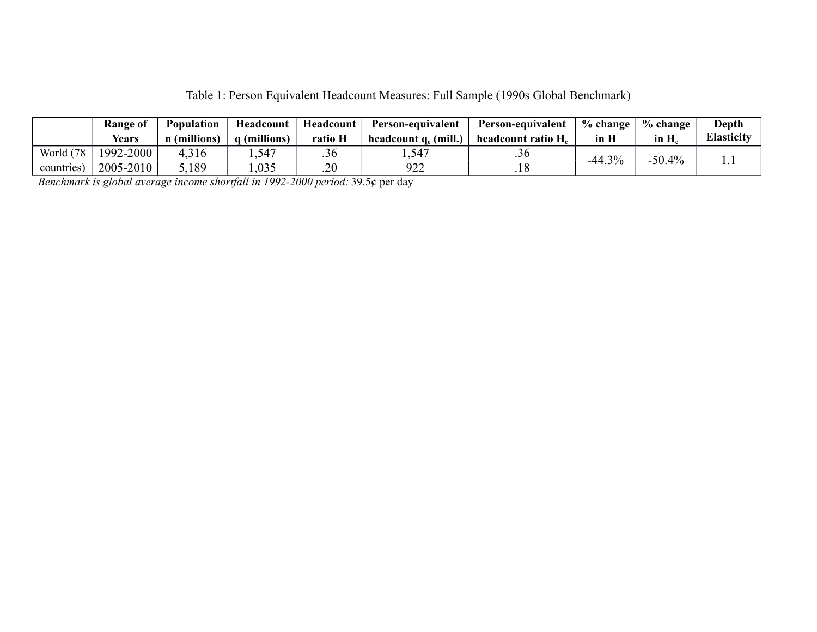|  | Table 1: Person Equivalent Headcount Measures: Full Sample (1990s Global Benchmark) |
|--|-------------------------------------------------------------------------------------|
|  |                                                                                     |

|             | Range of     | <b>Population</b> | Headcount    | Headcount | Person-equivalent       | Person-equivalent     | $%$ change | % change | Depth             |
|-------------|--------------|-------------------|--------------|-----------|-------------------------|-----------------------|------------|----------|-------------------|
|             | <b>Years</b> | n (millions)      | q (millions) | ratio H   | headcount $q_e$ (mill.) | headcount ratio $H_e$ | in H       | in $H_e$ | <b>Elasticity</b> |
| World $(78$ | 1992-2000    | 4,316             | ,547         | .36       | ,547                    | .30                   | $-44.3%$   | $-50.4%$ |                   |
| countries)  | 2005-2010    | 5,189             | ,035         | .20       | 922                     | .18                   |            |          |                   |

*Benchmark is global average income shortfall in 1992-2000 period:* 39.5¢ per day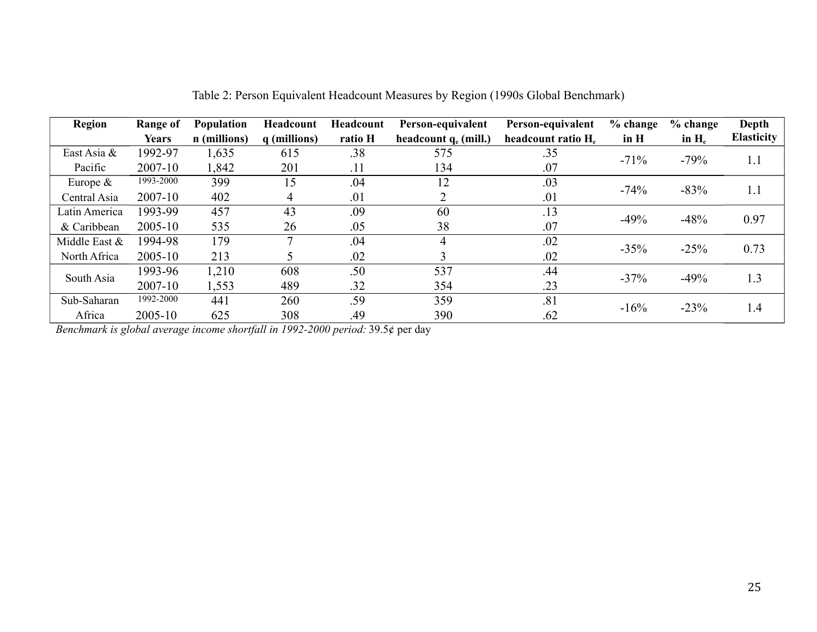| <b>Region</b> | Range of     | Population   | Headcount    | Headcount | Person-equivalent       | Person-equivalent              | % change | $%$ change | Depth             |
|---------------|--------------|--------------|--------------|-----------|-------------------------|--------------------------------|----------|------------|-------------------|
|               | <b>Years</b> | n (millions) | q (millions) | ratio H   | headcount $q_e$ (mill.) | headcount ratio H <sub>e</sub> | in H     | in $H_e$   | <b>Elasticity</b> |
| East Asia &   | 1992-97      | 1,635        | 615          | .38       | 575                     | .35                            | $-71%$   | $-79%$     | 1.1               |
| Pacific       | 2007-10      | 1,842        | 201          | .11       | 134                     | .07                            |          |            |                   |
| Europe $\&$   | 1993-2000    | 399          | 15           | .04       | 12                      | .03                            | $-74%$   | $-83%$     | 1.1               |
| Central Asia  | 2007-10      | 402          | 4            | .01       | ↑                       | .01                            |          |            |                   |
| Latin America | 1993-99      | 457          | 43           | .09       | 60                      | .13                            | $-49%$   | $-48%$     | 0.97              |
| & Caribbean   | 2005-10      | 535          | 26           | .05       | 38                      | .07                            |          |            |                   |
| Middle East & | 1994-98      | 179          | $\mathbf{z}$ | .04       | 4                       | .02                            | $-35%$   | $-25%$     | 0.73              |
| North Africa  | 2005-10      | 213          |              | .02       | 3                       | .02                            |          |            |                   |
| South Asia    | 1993-96      | 1,210        | 608          | .50       | 537                     | .44                            | $-37%$   | $-49%$     | 1.3               |
|               | 2007-10      | 1,553        | 489          | .32       | 354                     | .23                            |          |            |                   |
| Sub-Saharan   | 1992-2000    | 441          | 260          | .59       | 359                     | .81                            | $-16%$   | $-23%$     |                   |
| Africa        | 2005-10      | 625          | 308          | .49       | 390                     | .62                            |          |            | 1.4               |

Table 2: Person Equivalent Headcount Measures by Region (1990s Global Benchmark)

*Benchmark is global average income shortfall in 1992-2000 period:* 39.5¢ per day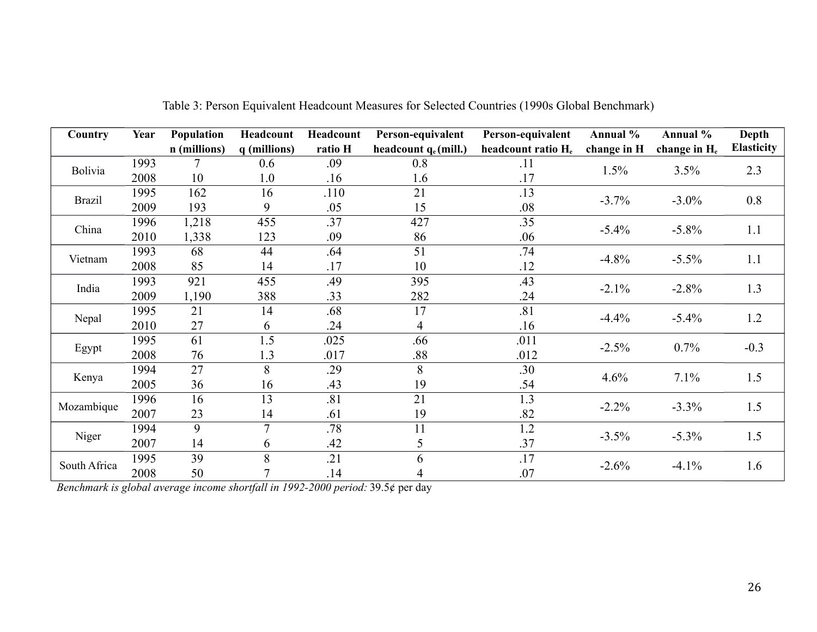| Country       | Year | Population   | Headcount      | Headcount | Person-equivalent       | Person-equivalent              | Annual %    | Annual %        | Depth             |
|---------------|------|--------------|----------------|-----------|-------------------------|--------------------------------|-------------|-----------------|-------------------|
|               |      | n (millions) | q (millions)   | ratio H   | headcount $q_e$ (mill.) | headcount ratio H <sub>e</sub> | change in H | change in $H_e$ | <b>Elasticity</b> |
| Bolivia       | 1993 |              | 0.6            | .09       | 0.8                     | .11                            | 1.5%        | 3.5%            | 2.3               |
|               | 2008 | 10           | 1.0            | .16       | 1.6                     | .17                            |             |                 |                   |
| <b>Brazil</b> | 1995 | 162          | 16             | .110      | 21                      | .13                            | $-3.7%$     | $-3.0\%$        | 0.8               |
|               | 2009 | 193          | 9              | .05       | 15                      | .08                            |             |                 |                   |
| China         | 1996 | 1,218        | 455            | .37       | 427                     | .35                            | $-5.4\%$    | $-5.8\%$        | 1.1               |
|               | 2010 | 1,338        | 123            | .09       | 86                      | .06                            |             |                 |                   |
| Vietnam       | 1993 | 68           | 44             | .64       | 51                      | .74                            | $-4.8%$     | $-5.5%$         | 1.1               |
|               | 2008 | 85           | 14             | .17       | 10                      | .12                            |             |                 |                   |
| India         | 1993 | 921          | 455            | .49       | 395                     | .43                            | $-2.1%$     | $-2.8%$         | 1.3               |
|               | 2009 | 1,190        | 388            | .33       | 282                     | .24                            |             |                 |                   |
| Nepal         | 1995 | 21           | 14             | .68       | 17                      | .81                            | $-4.4%$     | $-5.4\%$        | 1.2               |
|               | 2010 | 27           | 6              | .24       | 4                       | .16                            |             |                 |                   |
|               | 1995 | 61           | 1.5            | .025      | .66                     | .011                           | $-2.5%$     | 0.7%            | $-0.3$            |
| Egypt         | 2008 | 76           | 1.3            | .017      | .88                     | .012                           |             |                 |                   |
| Kenya         | 1994 | 27           | 8              | .29       | 8                       | .30                            | 4.6%        | 7.1%            | 1.5               |
|               | 2005 | 36           | 16             | .43       | 19                      | .54                            |             |                 |                   |
| Mozambique    | 1996 | 16           | 13             | .81       | 21                      | 1.3                            | $-2.2%$     | $-3.3\%$        | 1.5               |
|               | 2007 | 23           | 14             | .61       | 19                      | .82                            |             |                 |                   |
| Niger         | 1994 | 9            | $\overline{7}$ | .78       | 11                      | 1.2                            | $-3.5\%$    | $-5.3\%$        | 1.5               |
|               | 2007 | 14           | 6              | .42       | 5                       | .37                            |             |                 |                   |
| South Africa  | 1995 | 39           | 8              | .21       | 6                       | .17                            | $-2.6%$     | $-4.1%$         | 1.6               |
|               | 2008 | 50           |                | .14       | 4                       | .07                            |             |                 |                   |

Table 3: Person Equivalent Headcount Measures for Selected Countries (1990s Global Benchmark)

*Benchmark is global average income shortfall in 1992-2000 period:* 39.5¢ per day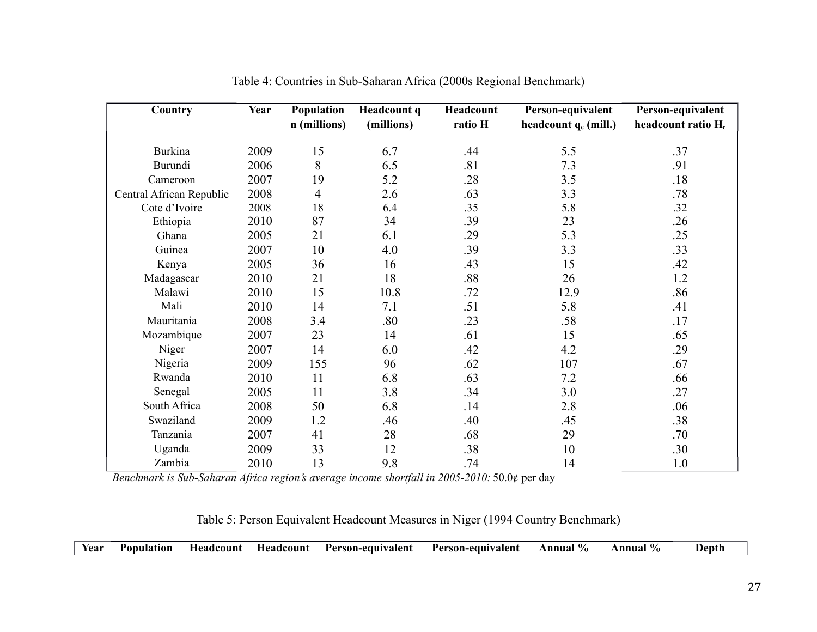| Country                  | Year | Population     | Headcount q | Headcount | Person-equivalent       | Person-equivalent  |
|--------------------------|------|----------------|-------------|-----------|-------------------------|--------------------|
|                          |      | n (millions)   | (millions)  | ratio H   | headcount $q_e$ (mill.) | headcount ratio He |
|                          |      |                |             |           |                         |                    |
| <b>Burkina</b>           | 2009 | 15             | 6.7         | .44       | 5.5                     | .37                |
| Burundi                  | 2006 | 8              | 6.5         | .81       | 7.3                     | .91                |
| Cameroon                 | 2007 | 19             | 5.2         | .28       | 3.5                     | .18                |
| Central African Republic | 2008 | $\overline{4}$ | 2.6         | .63       | 3.3                     | .78                |
| Cote d'Ivoire            | 2008 | 18             | 6.4         | .35       | 5.8                     | .32                |
| Ethiopia                 | 2010 | 87             | 34          | .39       | 23                      | .26                |
| Ghana                    | 2005 | 21             | 6.1         | .29       | 5.3                     | .25                |
| Guinea                   | 2007 | 10             | 4.0         | .39       | 3.3                     | .33                |
| Kenya                    | 2005 | 36             | 16          | .43       | 15                      | .42                |
| Madagascar               | 2010 | 21             | 18          | .88       | 26                      | 1.2                |
| Malawi                   | 2010 | 15             | 10.8        | .72       | 12.9                    | .86                |
| Mali                     | 2010 | 14             | 7.1         | .51       | 5.8                     | .41                |
| Mauritania               | 2008 | 3.4            | .80         | .23       | .58                     | .17                |
| Mozambique               | 2007 | 23             | 14          | .61       | 15                      | .65                |
| Niger                    | 2007 | 14             | 6.0         | .42       | 4.2                     | .29                |
| Nigeria                  | 2009 | 155            | 96          | .62       | 107                     | .67                |
| Rwanda                   | 2010 | 11             | 6.8         | .63       | 7.2                     | .66                |
| Senegal                  | 2005 | 11             | 3.8         | .34       | 3.0                     | .27                |
| South Africa             | 2008 | 50             | 6.8         | .14       | 2.8                     | .06                |
| Swaziland                | 2009 | 1.2            | .46         | .40       | .45                     | .38                |
| Tanzania                 | 2007 | 41             | 28          | .68       | 29                      | .70                |
| Uganda                   | 2009 | 33             | 12          | .38       | 10                      | .30                |
| Zambia                   | 2010 | 13             | 9.8         | .74       | 14                      | 1.0                |

Table 4: Countries in Sub-Saharan Africa (2000s Regional Benchmark)

*Benchmark is Sub-Saharan Africa region's average income shortfall in 2005-2010:* 50.0¢ per day

Table 5: Person Equivalent Headcount Measures in Niger (1994 Country Benchmark)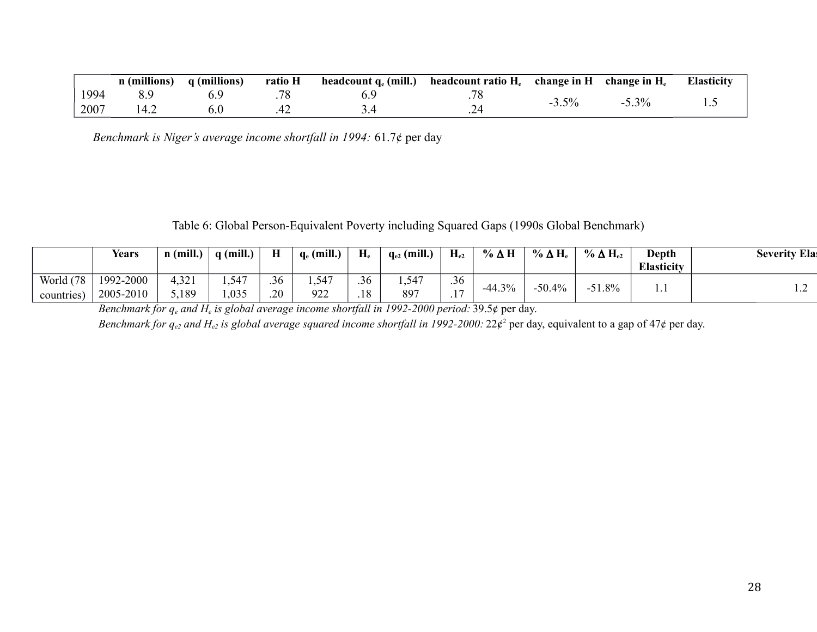|        |      | n (millions) q (millions) | ratio H | headcount $q_e$ (mill.) headcount ratio $H_e$ change in H change in $H_e$ Elasticity |          |          |  |
|--------|------|---------------------------|---------|--------------------------------------------------------------------------------------|----------|----------|--|
| 1994   | 8.9  |                           |         |                                                                                      | $-3.5\%$ |          |  |
| $2007$ | 14.2 |                           |         |                                                                                      |          | $-5.3\%$ |  |

*Benchmark is Niger's average income shortfall in 1994:* 61.7¢ per day

### Table 6: Global Person-Equivalent Poverty including Squared Gaps (1990s Global Benchmark)

|                         | Years                  | (mill.)      | $q$ (mill.)         |            | $q_e$ (mill.) | $H_e$             | (mill.)<br>$q_{e2}$ | $H_{e2}$           | $%$ $\Delta$ H | % $\Delta$ H <sub>e</sub> | % $\Delta$ H <sub>e2</sub> | Depth<br><b>Elasticity</b> | <b>Severity Elas</b> |
|-------------------------|------------------------|--------------|---------------------|------------|---------------|-------------------|---------------------|--------------------|----------------|---------------------------|----------------------------|----------------------------|----------------------|
| World (78<br>countries) | 1992-2000<br>2005-2010 | 321<br>5,189 | 547<br>ا ب<br>1,035 | .36<br>.20 | .,547<br>922  | .36<br>1 O<br>.10 | .547<br>897         | .36<br>$\sim$<br>. | $-44.3%$       | $-50.4\%$                 | $1.8\%$                    | .                          |                      |

*Benchmark for qe and He is global average income shortfall in 1992-2000 period:* 39.5¢ per day.

*Benchmark for*  $q_{e2}$  *and H<sub>e2</sub> is global average squared income shortfall in 1992-2000:*  $22¢^2$  per day, equivalent to a gap of 47¢ per day.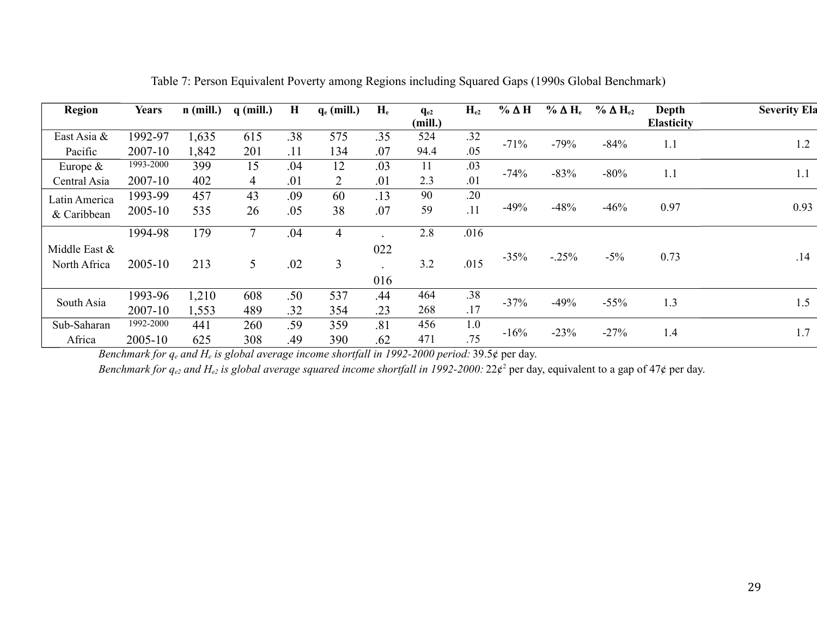| <b>Region</b> | <b>Years</b> | $n$ (mill.) | $q$ (mill.) | H   | $q_e$ (mill.)  | $H_e$ | $q_{e2}$<br>(mill.) | $H_{e2}$ | $%$ $\Delta$ H | % $\Delta$ H <sub>e</sub> | % $\Delta H_{e2}$ | Depth<br><b>Elasticity</b> | <b>Severity Ela</b> |     |     |
|---------------|--------------|-------------|-------------|-----|----------------|-------|---------------------|----------|----------------|---------------------------|-------------------|----------------------------|---------------------|-----|-----|
|               |              |             |             |     |                |       |                     |          |                |                           |                   |                            |                     |     |     |
| East Asia &   | 1992-97      | 1,635       | 615         | .38 | 575            | .35   | 524                 | .32      | $-71%$         | $-79%$                    |                   |                            | $-84%$              | 1.1 | 1.2 |
| Pacific       | 2007-10      | 1,842       | 201         | .11 | 134            | .07   | 94.4                | .05      |                |                           |                   |                            |                     |     |     |
| Europe $\&$   | 1993-2000    | 399         | 15          | .04 | 12             | .03   | 11                  | .03      |                |                           |                   |                            |                     |     |     |
| Central Asia  | 2007-10      | 402         | 4           | .01 | $\overline{2}$ | .01   | 2.3                 | .01      | $-74%$         | $-83%$                    | $-80%$            | 1.1                        | 1.1                 |     |     |
| Latin America | 1993-99      | 457         | 43          | .09 | 60             | .13   | 90                  | .20      |                |                           |                   |                            |                     |     |     |
| & Caribbean   | 2005-10      | 535         | 26          | .05 | 38             | .07   | 59                  | .11      | $-49%$         | $-48%$                    | $-46%$            | 0.97                       | 0.93                |     |     |
|               | 1994-98      | 179         |             | .04 | 4              |       | 2.8                 | .016     |                |                           |                   |                            |                     |     |     |
| Middle East & |              |             |             |     |                | 022   |                     |          |                |                           |                   |                            |                     |     |     |
| North Africa  | 2005-10      | 213         | 5           | .02 | 3              |       | 3.2                 | .015     | $-35%$         | $-0.25\%$                 | $-5\%$            | 0.73                       | .14                 |     |     |
|               |              |             |             |     |                | 016   |                     |          |                |                           |                   |                            |                     |     |     |
|               | 1993-96      | 1,210       | 608         | .50 | 537            | .44   | 464                 | .38      |                |                           |                   |                            |                     |     |     |
| South Asia    | 2007-10      | 1,553       | 489         | .32 | 354            | .23   | 268                 | .17      | $-37%$         | $-49%$                    | $-55%$            | 1.3                        | 1.5                 |     |     |
| Sub-Saharan   | 1992-2000    | 441         | 260         | .59 | 359            | .81   | 456                 | 1.0      |                |                           |                   |                            |                     |     |     |
| Africa        | 2005-10      | 625         | 308         | .49 | 390            | .62   | 471                 | .75      | $-16%$         | $-23%$                    | $-27%$            | 1.4                        | 1.7                 |     |     |

Table 7: Person Equivalent Poverty among Regions including Squared Gaps (1990s Global Benchmark)

*Benchmark for qe and He is global average income shortfall in 1992-2000 period:* 39.5¢ per day.

Benchmark for  $q_{e2}$  and  $H_{e2}$  is global average squared income shortfall in 1992-2000:  $22¢^2$  per day, equivalent to a gap of 47¢ per day.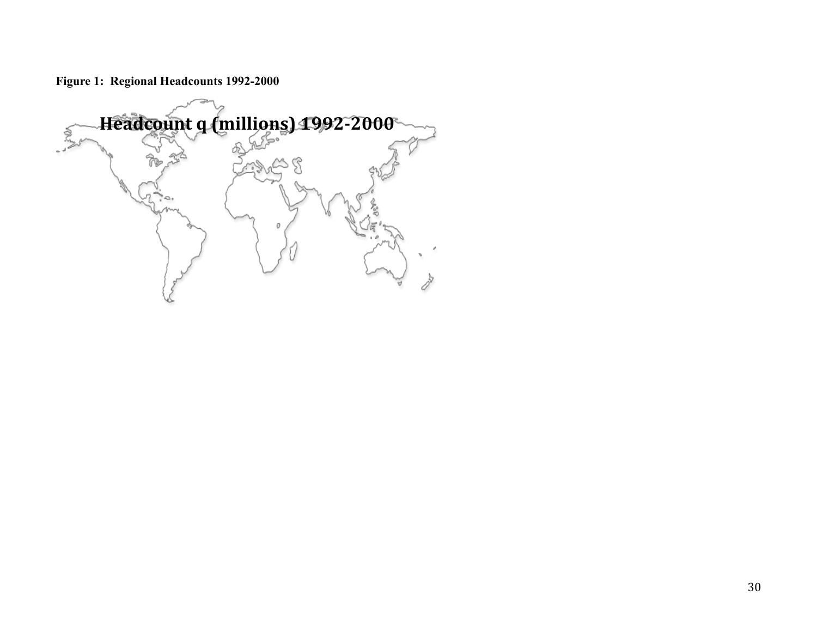**Figure 1: Regional Headcounts 1992-2000**

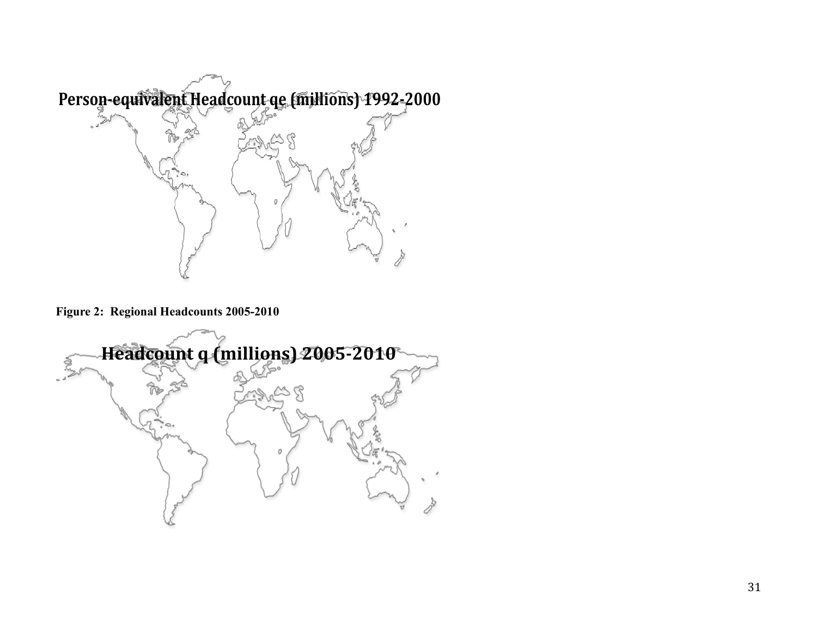

**Figure 2: Regional Headcounts 2005-2010**

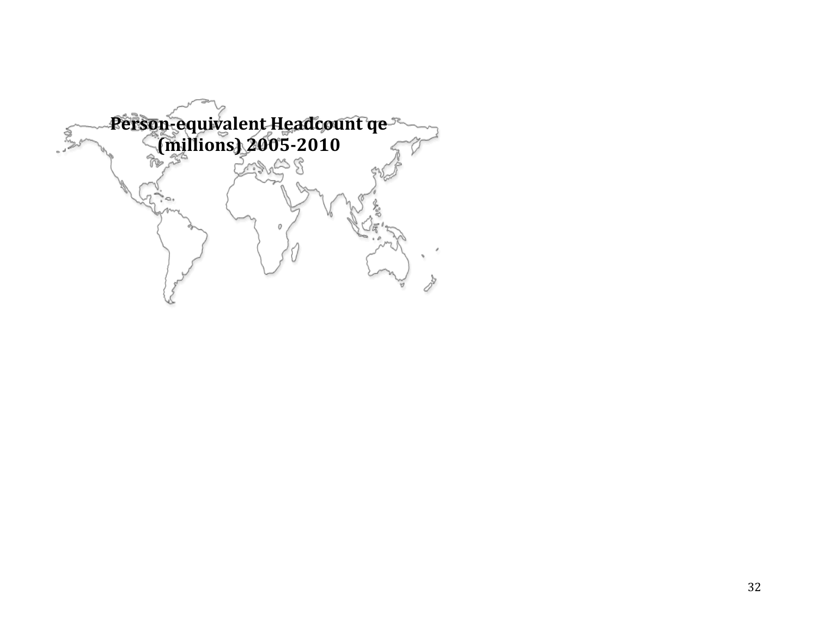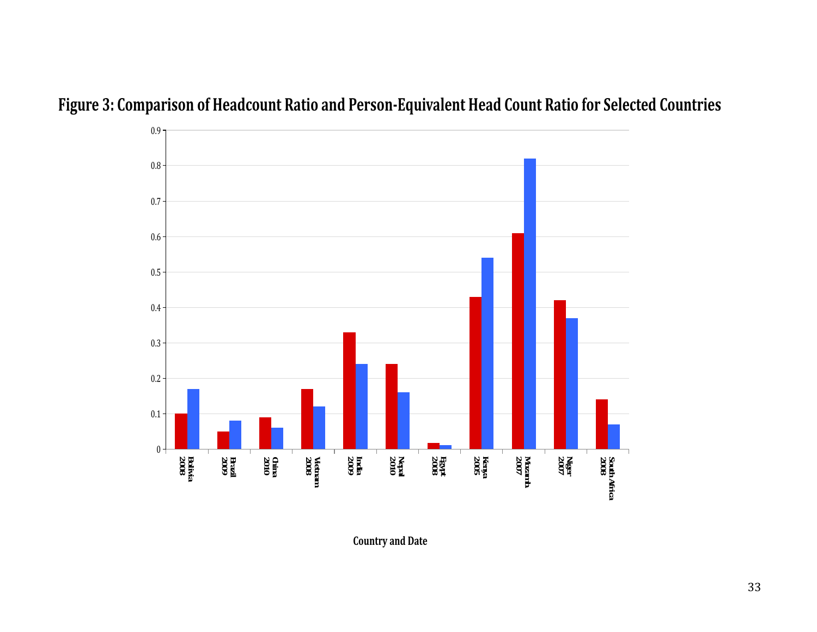

**Figure 3: Comparison of Headcount Ratio and Person-Equivalent Head Count Ratio for Selected Countries**

**Country and Date**